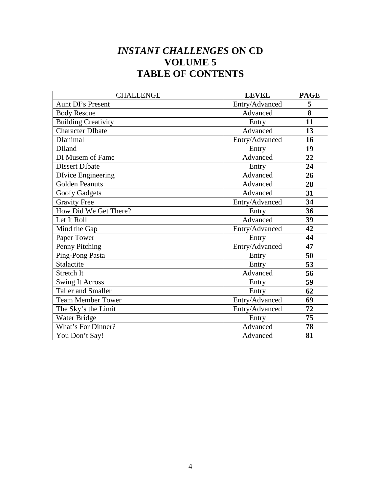# *INSTANT CHALLENGES* **ON CD VOLUME 5 TABLE OF CONTENTS**

| <b>CHALLENGE</b>           | <b>LEVEL</b>   | <b>PAGE</b> |
|----------------------------|----------------|-------------|
| Aunt DI's Present          | Entry/Advanced | 5           |
| <b>Body Rescue</b>         | Advanced       | 8           |
| <b>Building Creativity</b> | Entry          | 11          |
| <b>Character DIbate</b>    | Advanced       | 13          |
| <b>D</b> Ianimal           | Entry/Advanced | 16          |
| <b>DIland</b>              | Entry          | 19          |
| DI Musem of Fame           | Advanced       | 22          |
| <b>DIssert DIbate</b>      | Entry          | 24          |
| <b>DIvice Engineering</b>  | Advanced       | 26          |
| <b>Golden Peanuts</b>      | Advanced       | 28          |
| <b>Goofy Gadgets</b>       | Advanced       | 31          |
| <b>Gravity Free</b>        | Entry/Advanced | 34          |
| How Did We Get There?      | Entry          | 36          |
| Let It Roll                | Advanced       | 39          |
| Mind the Gap               | Entry/Advanced | 42          |
| Paper Tower                | Entry          | 44          |
| Penny Pitching             | Entry/Advanced | 47          |
| Ping-Pong Pasta            | Entry          | 50          |
| Stalactite                 | Entry          | 53          |
| Stretch It                 | Advanced       | 56          |
| <b>Swing It Across</b>     | Entry          | 59          |
| <b>Taller and Smaller</b>  | Entry          | 62          |
| <b>Team Member Tower</b>   | Entry/Advanced | 69          |
| The Sky's the Limit        | Entry/Advanced | 72          |
| Water Bridge               | Entry          | 75          |
| What's For Dinner?         | Advanced       | 78          |
| You Don't Say!             | Advanced       | 81          |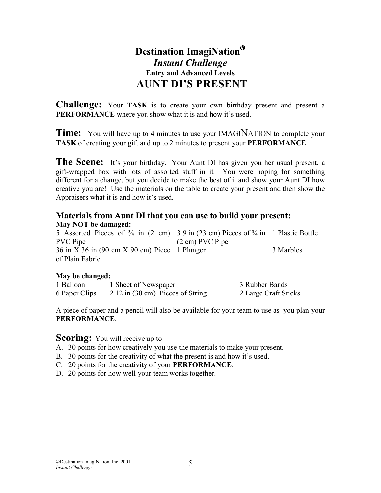# **Destination ImagiNation** *Instant Challenge*  **Entry and Advanced Levels AUNT DI'S PRESENT**

**Challenge:** Your **TASK** is to create your own birthday present and present a **PERFORMANCE** where you show what it is and how it's used.

**Time:** You will have up to 4 minutes to use your IMAGINATION to complete your **TASK** of creating your gift and up to 2 minutes to present your **PERFORMANCE**.

**The Scene:** It's your birthday. Your Aunt DI has given you her usual present, a gift-wrapped box with lots of assorted stuff in it. You were hoping for something different for a change, but you decide to make the best of it and show your Aunt DI how creative you are! Use the materials on the table to create your present and then show the Appraisers what it is and how it's used.

#### **Materials from Aunt DI that you can use to build your present: May NOT be damaged:**

5 Assorted Pieces of  $\frac{3}{4}$  in (2 cm) 3 9 in (23 cm) Pieces of  $\frac{3}{4}$  in 1 Plastic Bottle PVC Pipe (2 cm) PVC Pipe  $36$  in X  $36$  in (90 cm X  $90$  cm) Piece 1 Plunger 3 Marbles of Plain Fabric

#### **May be changed:**

| 1 Balloon     | 1 Sheet of Newspaper             | 3 Rubber Bands       |
|---------------|----------------------------------|----------------------|
| 6 Paper Clips | 2 12 in (30 cm) Pieces of String | 2 Large Craft Sticks |

A piece of paper and a pencil will also be available for your team to use as you plan your **PERFORMANCE**.

- A. 30 points for how creatively you use the materials to make your present.
- B. 30 points for the creativity of what the present is and how it's used.
- C. 20 points for the creativity of your **PERFORMANCE**.
- D. 20 points for how well your team works together.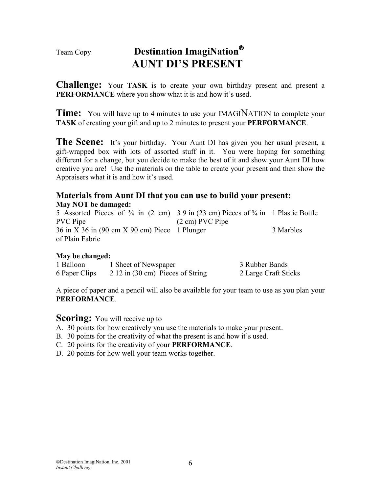# Team Copy **Destination ImagiNation AUNT DI'S PRESENT**

**Challenge:** Your **TASK** is to create your own birthday present and present a **PERFORMANCE** where you show what it is and how it's used.

**Time:** You will have up to 4 minutes to use your IMAGINATION to complete your **TASK** of creating your gift and up to 2 minutes to present your **PERFORMANCE**.

**The Scene:** It's your birthday. Your Aunt DI has given you her usual present, a gift-wrapped box with lots of assorted stuff in it. You were hoping for something different for a change, but you decide to make the best of it and show your Aunt DI how creative you are! Use the materials on the table to create your present and then show the Appraisers what it is and how it's used.

#### **Materials from Aunt DI that you can use to build your present: May NOT be damaged:**

5 Assorted Pieces of  $\frac{3}{4}$  in (2 cm) 3 9 in (23 cm) Pieces of  $\frac{3}{4}$  in 1 Plastic Bottle PVC Pipe (2 cm) PVC Pipe 36 in X 36 in (90 cm X 90 cm) Piece 1 Plunger 3 Marbles of Plain Fabric

#### **May be changed:**

| 1 Balloon     | 1 Sheet of Newspaper             | 3 Rubber Bands       |
|---------------|----------------------------------|----------------------|
| 6 Paper Clips | 2 12 in (30 cm) Pieces of String | 2 Large Craft Sticks |

A piece of paper and a pencil will also be available for your team to use as you plan your **PERFORMANCE**.

- A. 30 points for how creatively you use the materials to make your present.
- B. 30 points for the creativity of what the present is and how it's used.
- C. 20 points for the creativity of your **PERFORMANCE**.
- D. 20 points for how well your team works together.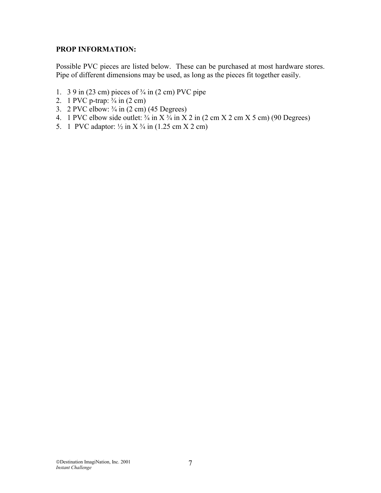#### **PROP INFORMATION:**

Possible PVC pieces are listed below. These can be purchased at most hardware stores. Pipe of different dimensions may be used, as long as the pieces fit together easily.

- 1. 3 9 in (23 cm) pieces of  $\frac{3}{4}$  in (2 cm) PVC pipe
- 2. 1 PVC p-trap:  $\frac{3}{4}$  in (2 cm)
- 3. 2 PVC elbow:  $\frac{3}{4}$  in (2 cm) (45 Degrees)
- 4. 1 PVC elbow side outlet:  $\frac{3}{4}$  in X $\frac{3}{4}$  in X 2 in (2 cm X 2 cm X 5 cm) (90 Degrees)
- 5. 1 PVC adaptor:  $\frac{1}{2}$  in X $\frac{3}{4}$  in (1.25 cm X 2 cm)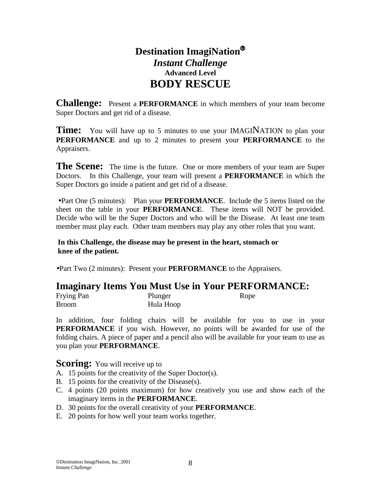# **Destination ImagiNation** *Instant Challenge*  **Advanced Level BODY RESCUE**

**Challenge:** Present a **PERFORMANCE** in which members of your team become Super Doctors and get rid of a disease.

**Time:** You will have up to 5 minutes to use your IMAGINATION to plan your **PERFORMANCE** and up to 2 minutes to present your **PERFORMANCE** to the Appraisers.

**The Scene:** The time is the future. One or more members of your team are Super Doctors. In this Challenge, your team will present a **PERFORMANCE** in which the Super Doctors go inside a patient and get rid of a disease.

•Part One (5 minutes): Plan your **PERFORMANCE**. Include the 5 items listed on the sheet on the table in your **PERFORMANCE**. These items will NOT be provided. Decide who will be the Super Doctors and who will be the Disease. At least one team member must play each. Other team members may play any other roles that you want.

**In this Challenge, the disease may be present in the heart, stomach or knee of the patient.**

•Part Two (2 minutes): Present your **PERFORMANCE** to the Appraisers.

#### **Imaginary Items You Must Use in Your PERFORMANCE:**

| Frying Pan   | Plunger   | Rope |
|--------------|-----------|------|
| <b>Broom</b> | Hula Hoop |      |

In addition, four folding chairs will be available for you to use in your **PERFORMANCE** if you wish. However, no points will be awarded for use of the folding chairs. A piece of paper and a pencil also will be available for your team to use as you plan your **PERFORMANCE**.

- A. 15 points for the creativity of the Super Doctor(s).
- B. 15 points for the creativity of the Disease(s).
- C. 4 points (20 points maximum) for how creatively you use and show each of the imaginary items in the **PERFORMANCE**.
- D. 30 points for the overall creativity of your **PERFORMANCE**.
- E. 20 points for how well your team works together.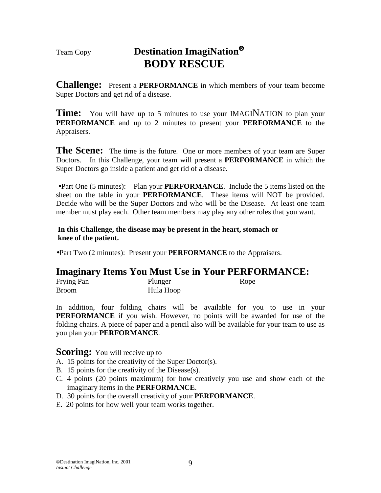# Team Copy **Destination ImagiNation BODY RESCUE**

**Challenge:** Present a **PERFORMANCE** in which members of your team become Super Doctors and get rid of a disease.

**Time:** You will have up to 5 minutes to use your IMAGINATION to plan your **PERFORMANCE** and up to 2 minutes to present your **PERFORMANCE** to the Appraisers.

**The Scene:** The time is the future. One or more members of your team are Super Doctors. In this Challenge, your team will present a **PERFORMANCE** in which the Super Doctors go inside a patient and get rid of a disease.

•Part One (5 minutes): Plan your **PERFORMANCE**. Include the 5 items listed on the sheet on the table in your **PERFORMANCE**. These items will NOT be provided. Decide who will be the Super Doctors and who will be the Disease. At least one team member must play each. Other team members may play any other roles that you want.

**In this Challenge, the disease may be present in the heart, stomach or knee of the patient.**

•Part Two (2 minutes): Present your **PERFORMANCE** to the Appraisers.

### **Imaginary Items You Must Use in Your PERFORMANCE:**

| Frying Pan   | Plunger   | Rope |
|--------------|-----------|------|
| <b>Broom</b> | Hula Hoop |      |

In addition, four folding chairs will be available for you to use in your **PERFORMANCE** if you wish. However, no points will be awarded for use of the folding chairs. A piece of paper and a pencil also will be available for your team to use as you plan your **PERFORMANCE**.

- A. 15 points for the creativity of the Super Doctor(s).
- B. 15 points for the creativity of the Disease(s).
- C. 4 points (20 points maximum) for how creatively you use and show each of the imaginary items in the **PERFORMANCE**.
- D. 30 points for the overall creativity of your **PERFORMANCE**.
- E. 20 points for how well your team works together.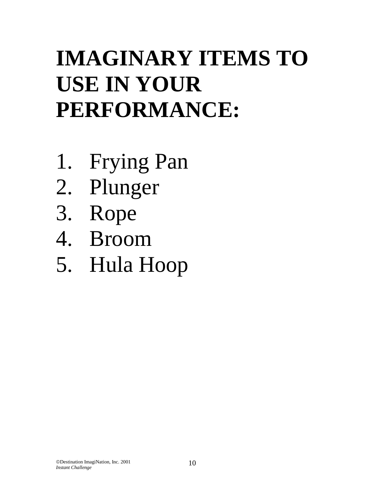# **IMAGINARY ITEMS TO USE IN YOUR PERFORMANCE:**

- 1. Frying Pan
- 2. Plunger
- 3. Rope
- 4. Broom
- 5. Hula Hoop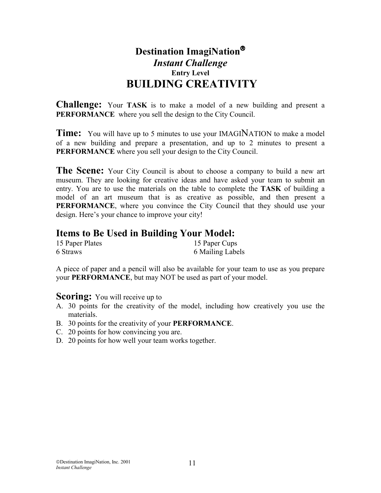# **Destination ImagiNation** *Instant Challenge*  **Entry Level BUILDING CREATIVITY**

**Challenge:** Your **TASK** is to make a model of a new building and present a **PERFORMANCE** where you sell the design to the City Council.

**Time:** You will have up to 5 minutes to use your IMAGINATION to make a model of a new building and prepare a presentation, and up to 2 minutes to present a **PERFORMANCE** where you sell your design to the City Council.

**The Scene:** Your City Council is about to choose a company to build a new art museum. They are looking for creative ideas and have asked your team to submit an entry. You are to use the materials on the table to complete the **TASK** of building a model of an art museum that is as creative as possible, and then present a **PERFORMANCE**, where you convince the City Council that they should use your design. Here's your chance to improve your city!

# **Items to Be Used in Building Your Model:**

| 15 Paper Plates | 15 Paper Cups    |
|-----------------|------------------|
| 6 Straws        | 6 Mailing Labels |

A piece of paper and a pencil will also be available for your team to use as you prepare your **PERFORMANCE**, but may NOT be used as part of your model.

- A. 30 points for the creativity of the model, including how creatively you use the materials.
- B. 30 points for the creativity of your **PERFORMANCE**.
- C. 20 points for how convincing you are.
- D. 20 points for how well your team works together.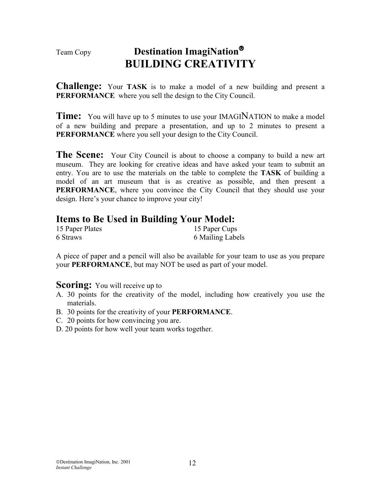# Team Copy **Destination ImagiNation BUILDING CREATIVITY**

**Challenge:** Your **TASK** is to make a model of a new building and present a **PERFORMANCE** where you sell the design to the City Council.

**Time:** You will have up to 5 minutes to use your IMAGINATION to make a model of a new building and prepare a presentation, and up to 2 minutes to present a **PERFORMANCE** where you sell your design to the City Council.

**The Scene:** Your City Council is about to choose a company to build a new art museum. They are looking for creative ideas and have asked your team to submit an entry. You are to use the materials on the table to complete the **TASK** of building a model of an art museum that is as creative as possible, and then present a **PERFORMANCE**, where you convince the City Council that they should use your design. Here's your chance to improve your city!

### **Items to Be Used in Building Your Model:**

| 15 Paper Plates | 15 Paper Cups    |
|-----------------|------------------|
| 6 Straws        | 6 Mailing Labels |

A piece of paper and a pencil will also be available for your team to use as you prepare your **PERFORMANCE**, but may NOT be used as part of your model.

- A. 30 points for the creativity of the model, including how creatively you use the materials.
- B. 30 points for the creativity of your **PERFORMANCE**.
- C. 20 points for how convincing you are.
- D. 20 points for how well your team works together.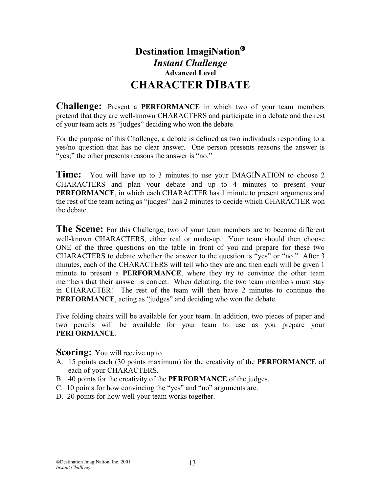# **Destination ImagiNation** *Instant Challenge*  **Advanced Level CHARACTER DIBATE**

**Challenge:** Present a **PERFORMANCE** in which two of your team members pretend that they are well-known CHARACTERS and participate in a debate and the rest of your team acts as "judges" deciding who won the debate.

For the purpose of this Challenge, a debate is defined as two individuals responding to a yes/no question that has no clear answer. One person presents reasons the answer is "yes;" the other presents reasons the answer is "no."

**Time:** You will have up to 3 minutes to use your IMAGINATION to choose 2 CHARACTERS and plan your debate and up to 4 minutes to present your **PERFORMANCE**, in which each CHARACTER has 1 minute to present arguments and the rest of the team acting as "judges" has 2 minutes to decide which CHARACTER won the debate.

**The Scene:** For this Challenge, two of your team members are to become different well-known CHARACTERS, either real or made-up. Your team should then choose ONE of the three questions on the table in front of you and prepare for these two CHARACTERS to debate whether the answer to the question is "yes" or "no." After 3 minutes, each of the CHARACTERS will tell who they are and then each will be given 1 minute to present a **PERFORMANCE**, where they try to convince the other team members that their answer is correct. When debating, the two team members must stay in CHARACTER! The rest of the team will then have 2 minutes to continue the **PERFORMANCE**, acting as "judges" and deciding who won the debate.

Five folding chairs will be available for your team. In addition, two pieces of paper and two pencils will be available for your team to use as you prepare your **PERFORMANCE**.

- A. 15 points each (30 points maximum) for the creativity of the **PERFORMANCE** of each of your CHARACTERS.
- B. 40 points for the creativity of the **PERFORMANCE** of the judges.
- C. 10 points for how convincing the "yes" and "no" arguments are.
- D. 20 points for how well your team works together.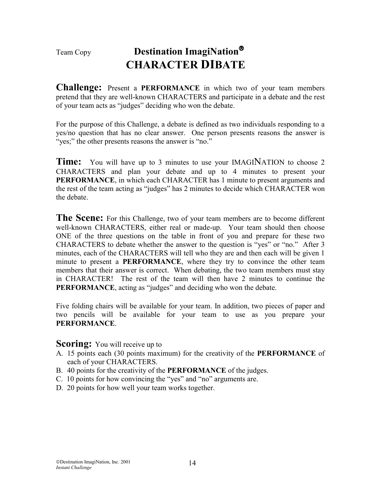# Team Copy **Destination ImagiNation CHARACTER DIBATE**

**Challenge:** Present a **PERFORMANCE** in which two of your team members pretend that they are well-known CHARACTERS and participate in a debate and the rest of your team acts as "judges" deciding who won the debate.

For the purpose of this Challenge, a debate is defined as two individuals responding to a yes/no question that has no clear answer. One person presents reasons the answer is "yes;" the other presents reasons the answer is "no."

**Time:** You will have up to 3 minutes to use your IMAGINATION to choose 2 CHARACTERS and plan your debate and up to 4 minutes to present your **PERFORMANCE**, in which each CHARACTER has 1 minute to present arguments and the rest of the team acting as "judges" has 2 minutes to decide which CHARACTER won the debate.

**The Scene:** For this Challenge, two of your team members are to become different well-known CHARACTERS, either real or made-up. Your team should then choose ONE of the three questions on the table in front of you and prepare for these two CHARACTERS to debate whether the answer to the question is "yes" or "no." After 3 minutes, each of the CHARACTERS will tell who they are and then each will be given 1 minute to present a **PERFORMANCE**, where they try to convince the other team members that their answer is correct. When debating, the two team members must stay in CHARACTER! The rest of the team will then have 2 minutes to continue the **PERFORMANCE**, acting as "judges" and deciding who won the debate.

Five folding chairs will be available for your team. In addition, two pieces of paper and two pencils will be available for your team to use as you prepare your **PERFORMANCE**.

- A. 15 points each (30 points maximum) for the creativity of the **PERFORMANCE** of each of your CHARACTERS.
- B. 40 points for the creativity of the **PERFORMANCE** of the judges.
- C. 10 points for how convincing the "yes" and "no" arguments are.
- D. 20 points for how well your team works together.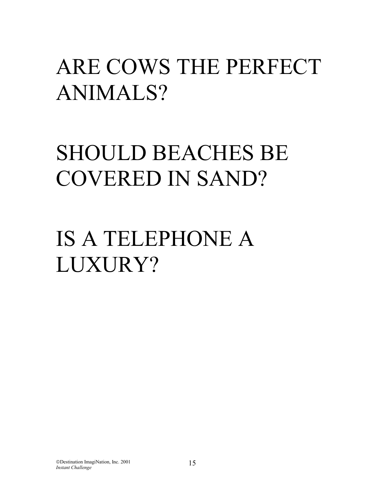# ARE COWS THE PERFECT ANIMALS?

# SHOULD BEACHES BE COVERED IN SAND?

# IS A TELEPHONE A LUXURY?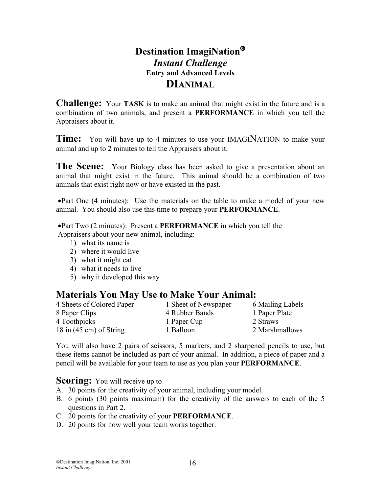# **Destination ImagiNation** *Instant Challenge*  **Entry and Advanced Levels DIANIMAL**

**Challenge:** Your **TASK** is to make an animal that might exist in the future and is a combination of two animals, and present a **PERFORMANCE** in which you tell the Appraisers about it.

**Time:** You will have up to 4 minutes to use your IMAGINATION to make your animal and up to 2 minutes to tell the Appraisers about it.

**The Scene:** Your Biology class has been asked to give a presentation about an animal that might exist in the future. This animal should be a combination of two animals that exist right now or have existed in the past.

•Part One (4 minutes): Use the materials on the table to make a model of your new animal. You should also use this time to prepare your **PERFORMANCE**.

•Part Two (2 minutes): Present a **PERFORMANCE** in which you tell the Appraisers about your new animal, including:

- 1) what its name is
- 2) where it would live
- 3) what it might eat
- 4) what it needs to live
- 5) why it developed this way

### **Materials You May Use to Make Your Animal:**

| 4 Sheets of Colored Paper         | 1 Sheet of Newspaper | 6 Mailing Labels |
|-----------------------------------|----------------------|------------------|
| 8 Paper Clips                     | 4 Rubber Bands       | 1 Paper Plate    |
| 4 Toothpicks                      | 1 Paper Cup          | 2 Straws         |
| 18 in $(45 \text{ cm})$ of String | 1 Balloon            | 2 Marshmallows   |

You will also have 2 pairs of scissors, 5 markers, and 2 sharpened pencils to use, but these items cannot be included as part of your animal. In addition, a piece of paper and a pencil will be available for your team to use as you plan your **PERFORMANCE**.

- A. 30 points for the creativity of your animal, including your model.
- B. 6 points (30 points maximum) for the creativity of the answers to each of the 5 questions in Part 2.
- C. 20 points for the creativity of your **PERFORMANCE**.
- D. 20 points for how well your team works together.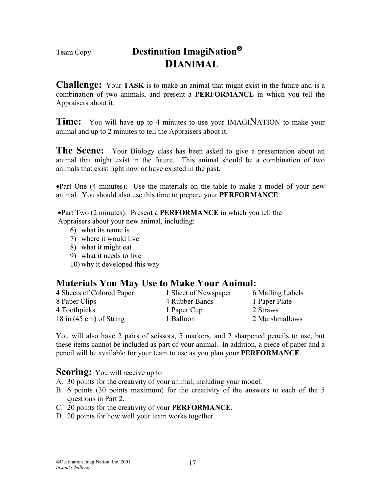# Team Copy **Destination ImagiNation DIANIMAL**

**Challenge:** Your **TASK** is to make an animal that might exist in the future and is a combination of two animals, and present a **PERFORMANCE** in which you tell the Appraisers about it.

**Time:** You will have up to 4 minutes to use your IMAGINATION to make your animal and up to 2 minutes to tell the Appraisers about it.

**The Scene:** Your Biology class has been asked to give a presentation about an animal that might exist in the future. This animal should be a combination of two animals that exist right now or have existed in the past.

•Part One (4 minutes): Use the materials on the table to make a model of your new animal. You should also use this time to prepare your **PERFORMANCE**.

•Part Two (2 minutes): Present a **PERFORMANCE** in which you tell the Appraisers about your new animal, including:

- 6) what its name is
- 7) where it would live
- 8) what it might eat
- 9) what it needs to live
- 10) why it developed this way

### **Materials You May Use to Make Your Animal:**

4 Sheets of Colored Paper 1 Sheet of Newspaper 6 Mailing Labels 8 Paper Clips 4 Rubber Bands 1 Paper Plate 4 Toothpicks 1 Paper Cup 2 Straws 18 in (45 cm) of String 1 Balloon 2 Marshmallows

- 
- 

You will also have 2 pairs of scissors, 5 markers, and 2 sharpened pencils to use, but these items cannot be included as part of your animal. In addition, a piece of paper and a pencil will be available for your team to use as you plan your **PERFORMANCE**.

- A. 30 points for the creativity of your animal, including your model.
- B. 6 points (30 points maximum) for the creativity of the answers to each of the 5 questions in Part 2.
- C. 20 points for the creativity of your **PERFORMANCE**.
- D. 20 points for how well your team works together.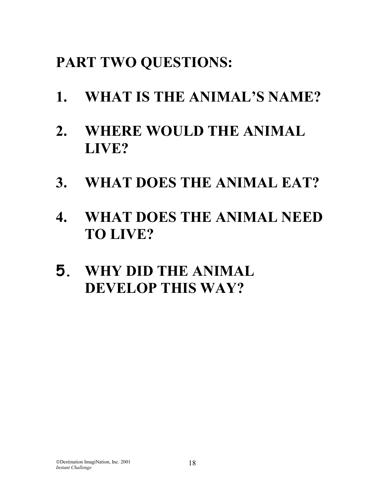# **PART TWO QUESTIONS:**

- **1. WHAT IS THE ANIMAL'S NAME?**
- **2. WHERE WOULD THE ANIMAL LIVE?**
- **3. WHAT DOES THE ANIMAL EAT?**
- **4. WHAT DOES THE ANIMAL NEED TO LIVE?**
- **5. WHY DID THE ANIMAL DEVELOP THIS WAY?**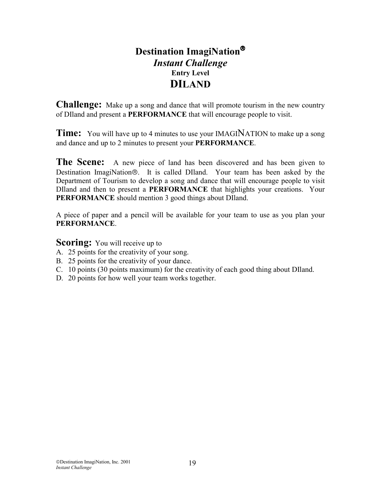# **Destination ImagiNation** *Instant Challenge*  **Entry Level DILAND**

**Challenge:** Make up a song and dance that will promote tourism in the new country of DIland and present a **PERFORMANCE** that will encourage people to visit.

**Time:** You will have up to 4 minutes to use your IMAGINATION to make up a song and dance and up to 2 minutes to present your **PERFORMANCE**.

The Scene: A new piece of land has been discovered and has been given to Destination ImagiNation®. It is called DIland. Your team has been asked by the Department of Tourism to develop a song and dance that will encourage people to visit DIland and then to present a **PERFORMANCE** that highlights your creations. Your **PERFORMANCE** should mention 3 good things about DIland.

A piece of paper and a pencil will be available for your team to use as you plan your **PERFORMANCE**.

- A. 25 points for the creativity of your song.
- B. 25 points for the creativity of your dance.
- C. 10 points (30 points maximum) for the creativity of each good thing about DIland.
- D. 20 points for how well your team works together.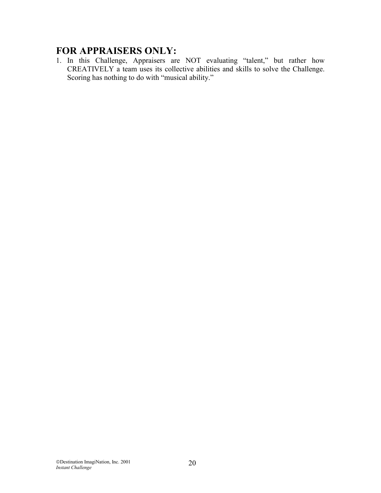# **FOR APPRAISERS ONLY:**

1. In this Challenge, Appraisers are NOT evaluating "talent," but rather how CREATIVELY a team uses its collective abilities and skills to solve the Challenge. Scoring has nothing to do with "musical ability."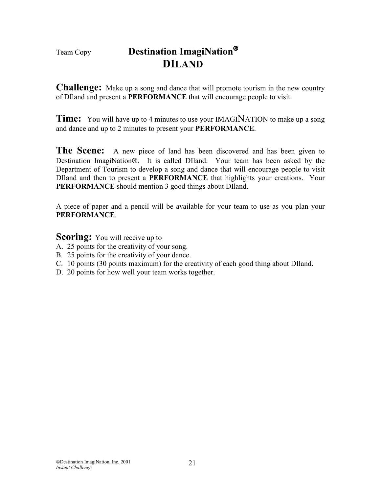# Team Copy **Destination ImagiNation**<sup>®</sup>  **DILAND**

**Challenge:** Make up a song and dance that will promote tourism in the new country of DIland and present a **PERFORMANCE** that will encourage people to visit.

**Time:** You will have up to 4 minutes to use your IMAGINATION to make up a song and dance and up to 2 minutes to present your **PERFORMANCE**.

The Scene: A new piece of land has been discovered and has been given to Destination ImagiNation®. It is called DIland. Your team has been asked by the Department of Tourism to develop a song and dance that will encourage people to visit DIland and then to present a **PERFORMANCE** that highlights your creations. Your **PERFORMANCE** should mention 3 good things about DIland.

A piece of paper and a pencil will be available for your team to use as you plan your **PERFORMANCE**.

- A. 25 points for the creativity of your song.
- B. 25 points for the creativity of your dance.
- C. 10 points (30 points maximum) for the creativity of each good thing about DIland.
- D. 20 points for how well your team works together.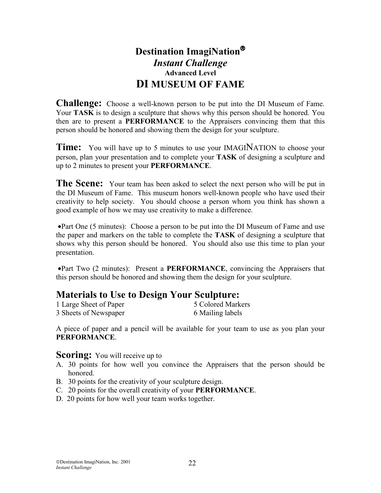# **Destination ImagiNation** *Instant Challenge*  **Advanced Level DI MUSEUM OF FAME**

**Challenge:** Choose a well-known person to be put into the DI Museum of Fame. Your **TASK** is to design a sculpture that shows why this person should be honored. You then are to present a **PERFORMANCE** to the Appraisers convincing them that this person should be honored and showing them the design for your sculpture.

**Time:** You will have up to 5 minutes to use your IMAGINATION to choose your person, plan your presentation and to complete your **TASK** of designing a sculpture and up to 2 minutes to present your **PERFORMANCE**.

**The Scene:** Your team has been asked to select the next person who will be put in the DI Museum of Fame. This museum honors well-known people who have used their creativity to help society. You should choose a person whom you think has shown a good example of how we may use creativity to make a difference.

•Part One (5 minutes): Choose a person to be put into the DI Museum of Fame and use the paper and markers on the table to complete the **TASK** of designing a sculpture that shows why this person should be honored. You should also use this time to plan your presentation.

•Part Two (2 minutes): Present a **PERFORMANCE**, convincing the Appraisers that this person should be honored and showing them the design for your sculpture.

### **Materials to Use to Design Your Sculpture:**

| 1 Large Sheet of Paper | 5 Colored Markers |
|------------------------|-------------------|
| 3 Sheets of Newspaper  | 6 Mailing labels  |

A piece of paper and a pencil will be available for your team to use as you plan your **PERFORMANCE**.

- A. 30 points for how well you convince the Appraisers that the person should be honored.
- B. 30 points for the creativity of your sculpture design.
- C. 20 points for the overall creativity of your **PERFORMANCE**.
- D. 20 points for how well your team works together.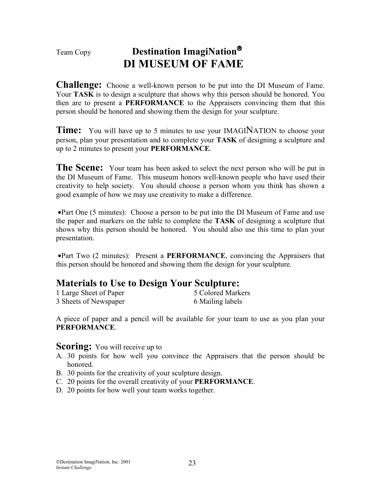# Team Copy **Destination ImagiNation DI MUSEUM OF FAME**

**Challenge:** Choose a well-known person to be put into the DI Museum of Fame. Your **TASK** is to design a sculpture that shows why this person should be honored. You then are to present a **PERFORMANCE** to the Appraisers convincing them that this person should be honored and showing them the design for your sculpture.

**Time:** You will have up to 5 minutes to use your IMAGINATION to choose your person, plan your presentation and to complete your **TASK** of designing a sculpture and up to 2 minutes to present your **PERFORMANCE**.

**The Scene:** Your team has been asked to select the next person who will be put in the DI Museum of Fame. This museum honors well-known people who have used their creativity to help society. You should choose a person whom you think has shown a good example of how we may use creativity to make a difference.

•Part One (5 minutes): Choose a person to be put into the DI Museum of Fame and use the paper and markers on the table to complete the **TASK** of designing a sculpture that shows why this person should be honored. You should also use this time to plan your presentation.

•Part Two (2 minutes): Present a **PERFORMANCE**, convincing the Appraisers that this person should be honored and showing them the design for your sculpture.

# **Materials to Use to Design Your Sculpture:**

| 1 Large Sheet of Paper | 5 Colored Markers |
|------------------------|-------------------|
| 3 Sheets of Newspaper  | 6 Mailing labels  |

A piece of paper and a pencil will be available for your team to use as you plan your **PERFORMANCE**.

- A. 30 points for how well you convince the Appraisers that the person should be honored.
- B. 30 points for the creativity of your sculpture design.
- C. 20 points for the overall creativity of your **PERFORMANCE**.
- D. 20 points for how well your team works together.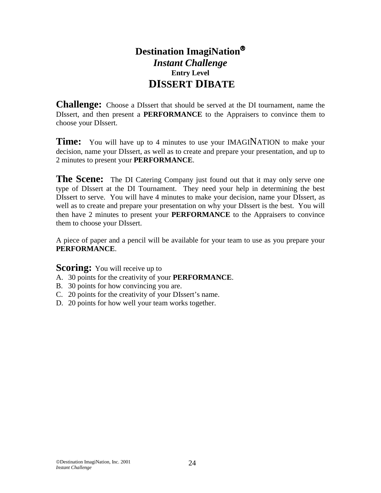# **Destination ImagiNation** *Instant Challenge*  **Entry Level DISSERT DIBATE**

**Challenge:** Choose a DIssert that should be served at the DI tournament, name the DIssert, and then present a **PERFORMANCE** to the Appraisers to convince them to choose your DIssert.

**Time:** You will have up to 4 minutes to use your **IMAGINATION** to make your decision, name your DIssert, as well as to create and prepare your presentation, and up to 2 minutes to present your **PERFORMANCE**.

**The Scene:** The DI Catering Company just found out that it may only serve one type of DIssert at the DI Tournament. They need your help in determining the best DIssert to serve. You will have 4 minutes to make your decision, name your DIssert, as well as to create and prepare your presentation on why your DIssert is the best. You will then have 2 minutes to present your **PERFORMANCE** to the Appraisers to convince them to choose your DIssert.

A piece of paper and a pencil will be available for your team to use as you prepare your **PERFORMANCE**.

- A. 30 points for the creativity of your **PERFORMANCE**.
- B. 30 points for how convincing you are.
- C. 20 points for the creativity of your DIssert's name.
- D. 20 points for how well your team works together.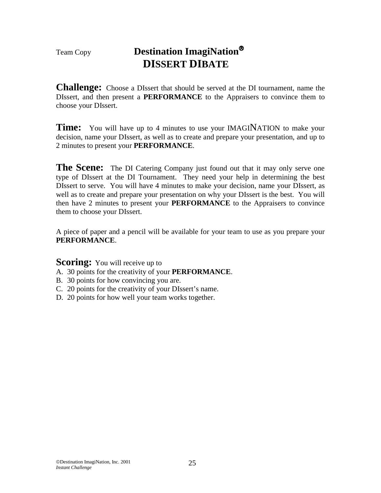# Team Copy **Destination ImagiNation DISSERT DIBATE**

**Challenge:** Choose a DIssert that should be served at the DI tournament, name the DIssert, and then present a **PERFORMANCE** to the Appraisers to convince them to choose your DIssert.

**Time:** You will have up to 4 minutes to use your IMAGINATION to make your decision, name your DIssert, as well as to create and prepare your presentation, and up to 2 minutes to present your **PERFORMANCE**.

**The Scene:** The DI Catering Company just found out that it may only serve one type of DIssert at the DI Tournament. They need your help in determining the best DIssert to serve. You will have 4 minutes to make your decision, name your DIssert, as well as to create and prepare your presentation on why your DIssert is the best. You will then have 2 minutes to present your **PERFORMANCE** to the Appraisers to convince them to choose your DIssert.

A piece of paper and a pencil will be available for your team to use as you prepare your **PERFORMANCE**.

- A. 30 points for the creativity of your **PERFORMANCE**.
- B. 30 points for how convincing you are.
- C. 20 points for the creativity of your DIssert's name.
- D. 20 points for how well your team works together.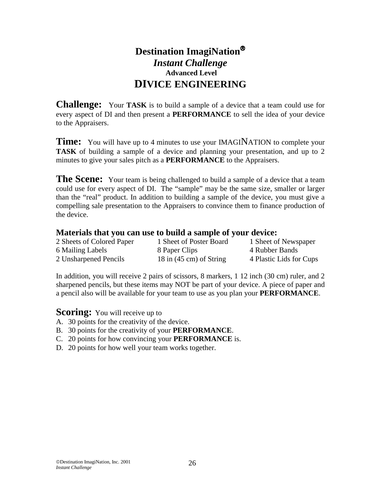# **Destination ImagiNation** *Instant Challenge*   **Advanced Level DIVICE ENGINEERING**

**Challenge:** Your **TASK** is to build a sample of a device that a team could use for every aspect of DI and then present a **PERFORMANCE** to sell the idea of your device to the Appraisers.

**Time:** You will have up to 4 minutes to use your IMAGINATION to complete your **TASK** of building a sample of a device and planning your presentation, and up to 2 minutes to give your sales pitch as a **PERFORMANCE** to the Appraisers.

**The Scene:** Your team is being challenged to build a sample of a device that a team could use for every aspect of DI. The "sample" may be the same size, smaller or larger than the "real" product. In addition to building a sample of the device, you must give a compelling sale presentation to the Appraisers to convince them to finance production of the device.

#### **Materials that you can use to build a sample of your device:**

| 2 Sheets of Colored Paper | 1 Sheet of Poster Board             | 1 Sheet of Newspaper    |
|---------------------------|-------------------------------------|-------------------------|
| 6 Mailing Labels          | 8 Paper Clips                       | 4 Rubber Bands          |
| 2 Unsharpened Pencils     | $18$ in $(45 \text{ cm})$ of String | 4 Plastic Lids for Cups |

In addition, you will receive 2 pairs of scissors, 8 markers, 1 12 inch (30 cm) ruler, and 2 sharpened pencils, but these items may NOT be part of your device. A piece of paper and a pencil also will be available for your team to use as you plan your **PERFORMANCE**.

- A. 30 points for the creativity of the device.
- B. 30 points for the creativity of your **PERFORMANCE**.
- C. 20 points for how convincing your **PERFORMANCE** is.
- D. 20 points for how well your team works together.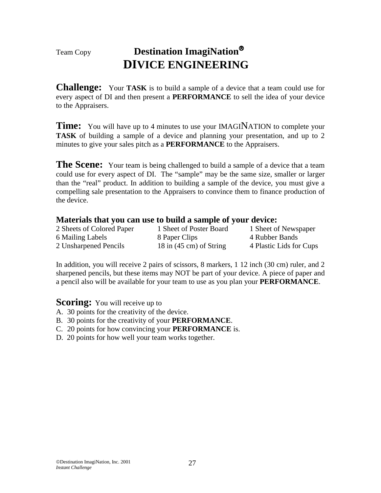# Team Copy **Destination ImagiNation DIVICE ENGINEERING**

**Challenge:** Your **TASK** is to build a sample of a device that a team could use for every aspect of DI and then present a **PERFORMANCE** to sell the idea of your device to the Appraisers.

**Time:** You will have up to 4 minutes to use your IMAGINATION to complete your **TASK** of building a sample of a device and planning your presentation, and up to 2 minutes to give your sales pitch as a **PERFORMANCE** to the Appraisers.

**The Scene:** Your team is being challenged to build a sample of a device that a team could use for every aspect of DI. The "sample" may be the same size, smaller or larger than the "real" product. In addition to building a sample of the device, you must give a compelling sale presentation to the Appraisers to convince them to finance production of the device.

#### **Materials that you can use to build a sample of your device:**

| 2 Sheets of Colored Paper | 1 Sheet of Poster Board           | 1 Sheet of Newspaper    |
|---------------------------|-----------------------------------|-------------------------|
| 6 Mailing Labels          | 8 Paper Clips                     | 4 Rubber Bands          |
| 2 Unsharpened Pencils     | 18 in $(45 \text{ cm})$ of String | 4 Plastic Lids for Cups |

In addition, you will receive 2 pairs of scissors, 8 markers, 1 12 inch (30 cm) ruler, and 2 sharpened pencils, but these items may NOT be part of your device. A piece of paper and a pencil also will be available for your team to use as you plan your **PERFORMANCE**.

- A. 30 points for the creativity of the device.
- B. 30 points for the creativity of your **PERFORMANCE**.
- C. 20 points for how convincing your **PERFORMANCE** is.
- D. 20 points for how well your team works together.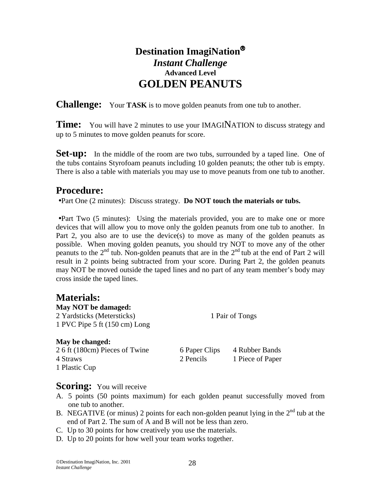# **Destination ImagiNation** *Instant Challenge*  **Advanced Level GOLDEN PEANUTS**

**Challenge:** Your **TASK** is to move golden peanuts from one tub to another.

**Time:** You will have 2 minutes to use your IMAGINATION to discuss strategy and up to 5 minutes to move golden peanuts for score.

**Set-up:** In the middle of the room are two tubs, surrounded by a taped line. One of the tubs contains Styrofoam peanuts including 10 golden peanuts; the other tub is empty. There is also a table with materials you may use to move peanuts from one tub to another.

# **Procedure:**

•Part One (2 minutes): Discuss strategy. **Do NOT touch the materials or tubs.**

•Part Two (5 minutes): Using the materials provided, you are to make one or more devices that will allow you to move only the golden peanuts from one tub to another. In Part 2, you also are to use the device(s) to move as many of the golden peanuts as possible. When moving golden peanuts, you should try NOT to move any of the other peanuts to the  $2<sup>nd</sup>$  tub. Non-golden peanuts that are in the  $2<sup>nd</sup>$  tub at the end of Part 2 will result in 2 points being subtracted from your score. During Part 2, the golden peanuts may NOT be moved outside the taped lines and no part of any team member's body may cross inside the taped lines.

## **Materials:**

| May NOT be damaged:            |                 |                  |  |
|--------------------------------|-----------------|------------------|--|
| 2 Yardsticks (Metersticks)     | 1 Pair of Tongs |                  |  |
| 1 PVC Pipe 5 ft (150 cm) Long  |                 |                  |  |
| May be changed:                |                 |                  |  |
| 2.6 ft (180cm) Pieces of Twine | 6 Paper Clips   | 4 Rubber Bands   |  |
| 4 Straws                       | 2 Pencils       | 1 Piece of Paper |  |
| 1 Plastic Cup                  |                 |                  |  |

- **Scoring:** You will receive<br>A. 5 points (50 points maximum) for each golden peanut successfully moved from one tub to another.
- B. NEGATIVE (or minus) 2 points for each non-golden peanut lying in the  $2<sup>nd</sup>$  tub at the end of Part 2. The sum of A and B will not be less than zero.
- C. Up to 30 points for how creatively you use the materials.
- D. Up to 20 points for how well your team works together.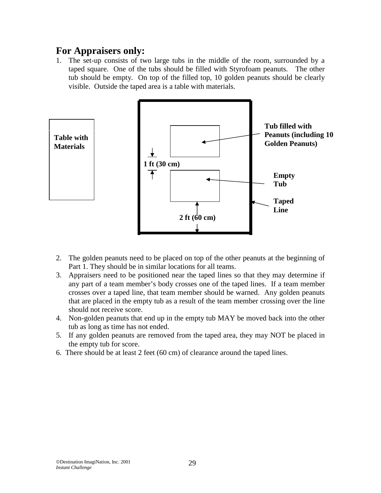# **For Appraisers only:**

1. The set-up consists of two large tubs in the middle of the room, surrounded by a taped square. One of the tubs should be filled with Styrofoam peanuts. The other tub should be empty. On top of the filled top, 10 golden peanuts should be clearly visible. Outside the taped area is a table with materials.



- 2. The golden peanuts need to be placed on top of the other peanuts at the beginning of Part 1. They should be in similar locations for all teams.
- 3. Appraisers need to be positioned near the taped lines so that they may determine if any part of a team member's body crosses one of the taped lines. If a team member crosses over a taped line, that team member should be warned. Any golden peanuts that are placed in the empty tub as a result of the team member crossing over the line should not receive score.
- 4. Non-golden peanuts that end up in the empty tub MAY be moved back into the other tub as long as time has not ended.
- 5. If any golden peanuts are removed from the taped area, they may NOT be placed in the empty tub for score.
- 6. There should be at least 2 feet (60 cm) of clearance around the taped lines.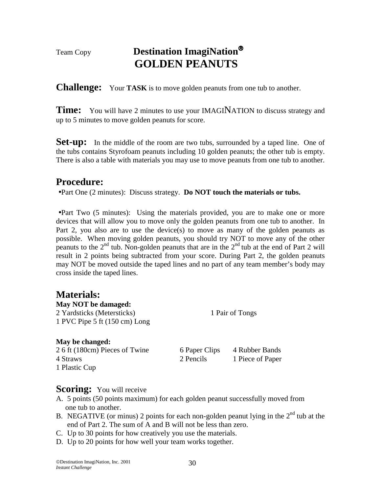# Team Copy **Destination ImagiNation GOLDEN PEANUTS**

**Challenge:** Your **TASK** is to move golden peanuts from one tub to another.

**Time:** You will have 2 minutes to use your IMAGINATION to discuss strategy and up to 5 minutes to move golden peanuts for score.

**Set-up:** In the middle of the room are two tubs, surrounded by a taped line. One of the tubs contains Styrofoam peanuts including 10 golden peanuts; the other tub is empty. There is also a table with materials you may use to move peanuts from one tub to another.

# **Procedure:**

•Part One (2 minutes): Discuss strategy. **Do NOT touch the materials or tubs.**

•Part Two (5 minutes): Using the materials provided, you are to make one or more devices that will allow you to move only the golden peanuts from one tub to another. In Part 2, you also are to use the device(s) to move as many of the golden peanuts as possible. When moving golden peanuts, you should try NOT to move any of the other peanuts to the  $2<sup>nd</sup>$  tub. Non-golden peanuts that are in the  $2<sup>nd</sup>$  tub at the end of Part 2 will result in 2 points being subtracted from your score. During Part 2, the golden peanuts may NOT be moved outside the taped lines and no part of any team member's body may cross inside the taped lines.

## **Materials:**

| 1 Pair of Tongs |
|-----------------|
|                 |
|                 |

#### **May be changed:**

2 6 ft (180cm) Pieces of Twine 6 Paper Clips 4 Rubber Bands 4 Straws 2 Pencils 2 Pencils 1 Piece of Paper 1 Plastic Cup

- **Scoring:** You will receive <br>A. 5 points (50 points maximum) for each golden peanut successfully moved from one tub to another.
- B. NEGATIVE (or minus) 2 points for each non-golden peanut lying in the  $2<sup>nd</sup>$  tub at the end of Part 2. The sum of A and B will not be less than zero.
- C. Up to 30 points for how creatively you use the materials.
- D. Up to 20 points for how well your team works together.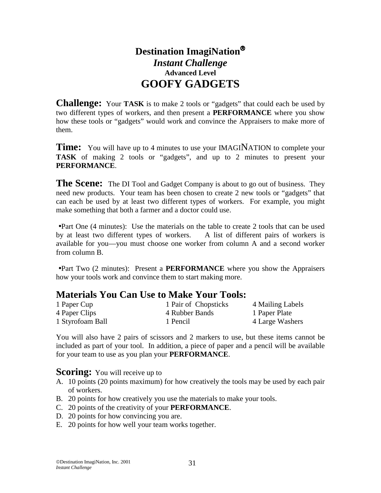# **Destination ImagiNation** *Instant Challenge*  **Advanced Level GOOFY GADGETS**

**Challenge:** Your **TASK** is to make 2 tools or "gadgets" that could each be used by two different types of workers, and then present a **PERFORMANCE** where you show how these tools or "gadgets" would work and convince the Appraisers to make more of them.

**Time:** You will have up to 4 minutes to use your **IMAGINATION** to complete your **TASK** of making 2 tools or "gadgets", and up to 2 minutes to present your **PERFORMANCE**.

**The Scene:** The DI Tool and Gadget Company is about to go out of business. They need new products. Your team has been chosen to create 2 new tools or "gadgets" that can each be used by at least two different types of workers. For example, you might make something that both a farmer and a doctor could use.

•Part One (4 minutes): Use the materials on the table to create 2 tools that can be used by at least two different types of workers. A list of different pairs of workers is available for you—you must choose one worker from column A and a second worker from column B.

•Part Two (2 minutes): Present a **PERFORMANCE** where you show the Appraisers how your tools work and convince them to start making more.

## **Materials You Can Use to Make Your Tools:**

| 1 Paper Cup      | 1 Pair of Chopsticks | 4 Mailing Labels |
|------------------|----------------------|------------------|
| 4 Paper Clips    | 4 Rubber Bands       | 1 Paper Plate    |
| 1 Styrofoam Ball | 1 Pencil             | 4 Large Washers  |

You will also have 2 pairs of scissors and 2 markers to use, but these items cannot be included as part of your tool. In addition, a piece of paper and a pencil will be available for your team to use as you plan your **PERFORMANCE**.

- A. 10 points (20 points maximum) for how creatively the tools may be used by each pair of workers.
- B. 20 points for how creatively you use the materials to make your tools.
- C. 20 points of the creativity of your **PERFORMANCE**.
- D. 20 points for how convincing you are.
- E. 20 points for how well your team works together.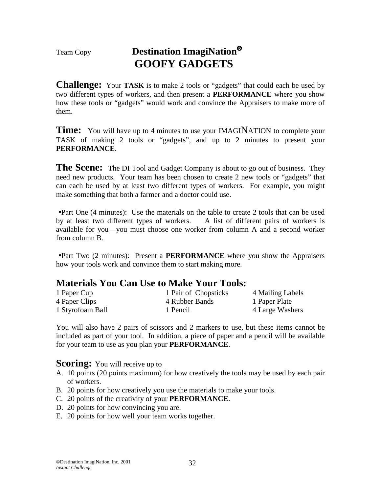# Team Copy **Destination ImagiNation GOOFY GADGETS**

**Challenge:** Your **TASK** is to make 2 tools or "gadgets" that could each be used by two different types of workers, and then present a **PERFORMANCE** where you show how these tools or "gadgets" would work and convince the Appraisers to make more of them.

**Time:** You will have up to 4 minutes to use your **IMAGINATION** to complete your TASK of making 2 tools or "gadgets", and up to 2 minutes to present your **PERFORMANCE**.

**The Scene:** The DI Tool and Gadget Company is about to go out of business. They need new products. Your team has been chosen to create 2 new tools or "gadgets" that can each be used by at least two different types of workers. For example, you might make something that both a farmer and a doctor could use.

•Part One (4 minutes): Use the materials on the table to create 2 tools that can be used by at least two different types of workers. A list of different pairs of workers is available for you—you must choose one worker from column A and a second worker from column B.

•Part Two (2 minutes): Present a **PERFORMANCE** where you show the Appraisers how your tools work and convince them to start making more.

# **Materials You Can Use to Make Your Tools:**

| 1 Paper Cup      | 1 Pair of Chopsticks | 4 Mailing Labels |
|------------------|----------------------|------------------|
| 4 Paper Clips    | 4 Rubber Bands       | 1 Paper Plate    |
| 1 Styrofoam Ball | 1 Pencil             | 4 Large Washers  |

You will also have 2 pairs of scissors and 2 markers to use, but these items cannot be included as part of your tool. In addition, a piece of paper and a pencil will be available for your team to use as you plan your **PERFORMANCE**.

- A. 10 points (20 points maximum) for how creatively the tools may be used by each pair of workers.
- B. 20 points for how creatively you use the materials to make your tools.
- C. 20 points of the creativity of your **PERFORMANCE**.
- D. 20 points for how convincing you are.
- E. 20 points for how well your team works together.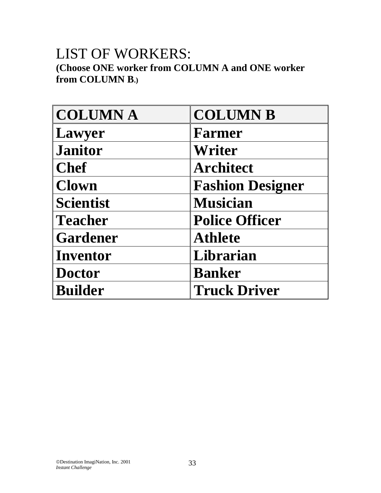# LIST OF WORKERS:

**(Choose ONE worker from COLUMN A and ONE worker from COLUMN B.)** 

| <b>COLUMNA</b>   | <b>COLUMN B</b>         |
|------------------|-------------------------|
| Lawyer           | Farmer                  |
| <b>Janitor</b>   | Writer                  |
| <b>Chef</b>      | <b>Architect</b>        |
| <b>Clown</b>     | <b>Fashion Designer</b> |
| <b>Scientist</b> | <b>Musician</b>         |
| <b>Teacher</b>   | <b>Police Officer</b>   |
| <b>Gardener</b>  | <b>Athlete</b>          |
| Inventor         | Librarian               |
| <b>Doctor</b>    | <b>Banker</b>           |
| <b>Builder</b>   | <b>Truck Driver</b>     |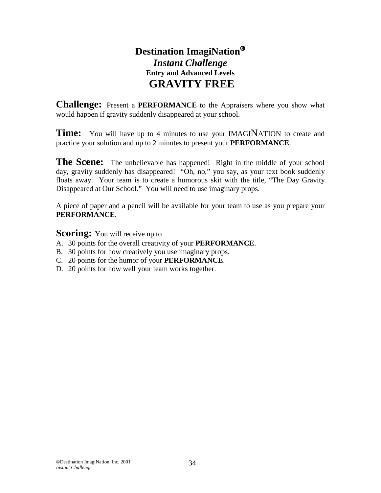# **Destination ImagiNation** *Instant Challenge*  **Entry and Advanced Levels GRAVITY FREE**

**Challenge:** Present a **PERFORMANCE** to the Appraisers where you show what would happen if gravity suddenly disappeared at your school.

**Time:** You will have up to 4 minutes to use your **IMAGINATION** to create and practice your solution and up to 2 minutes to present your **PERFORMANCE**.

**The Scene:** The unbelievable has happened! Right in the middle of your school day, gravity suddenly has disappeared! "Oh, no," you say, as your text book suddenly floats away. Your team is to create a humorous skit with the title, "The Day Gravity Disappeared at Our School." You will need to use imaginary props.

A piece of paper and a pencil will be available for your team to use as you prepare your **PERFORMANCE**.

- A. 30 points for the overall creativity of your **PERFORMANCE**.
- B. 30 points for how creatively you use imaginary props.
- C. 20 points for the humor of your **PERFORMANCE**.
- D. 20 points for how well your team works together.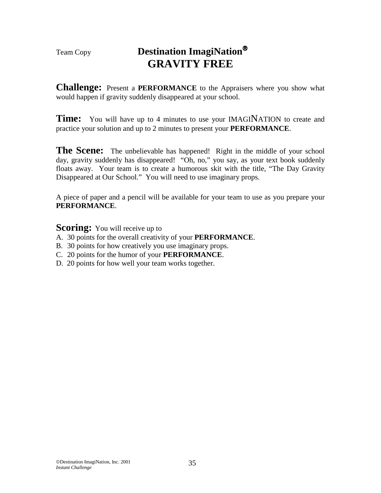# Team Copy **Destination ImagiNation GRAVITY FREE**

**Challenge:** Present a **PERFORMANCE** to the Appraisers where you show what would happen if gravity suddenly disappeared at your school.

**Time:** You will have up to 4 minutes to use your **IMAGINATION** to create and practice your solution and up to 2 minutes to present your **PERFORMANCE**.

The Scene: The unbelievable has happened! Right in the middle of your school day, gravity suddenly has disappeared! "Oh, no," you say, as your text book suddenly floats away. Your team is to create a humorous skit with the title, "The Day Gravity Disappeared at Our School." You will need to use imaginary props.

A piece of paper and a pencil will be available for your team to use as you prepare your **PERFORMANCE**.

- A. 30 points for the overall creativity of your **PERFORMANCE**.
- B. 30 points for how creatively you use imaginary props.
- C. 20 points for the humor of your **PERFORMANCE**.
- D. 20 points for how well your team works together.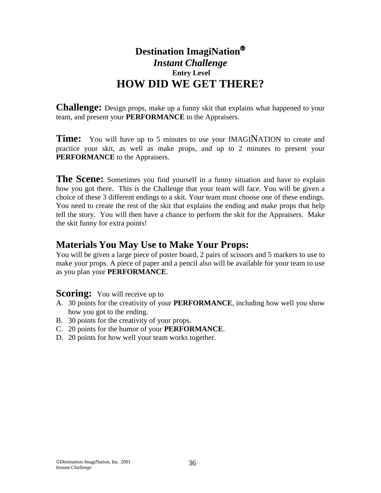# **Destination ImagiNation** *Instant Challenge*   **Entry Level HOW DID WE GET THERE?**

**Challenge:** Design props, make up a funny skit that explains what happened to your team, and present your **PERFORMANCE** to the Appraisers.

**Time:** You will have up to 5 minutes to use your IMAGINATION to create and practice your skit, as well as make props, and up to 2 minutes to present your **PERFORMANCE** to the Appraisers.

**The Scene:** Sometimes you find yourself in a funny situation and have to explain how you got there. This is the Challenge that your team will face. You will be given a choice of these 3 different endings to a skit. Your team must choose one of these endings. You need to create the rest of the skit that explains the ending and make props that help tell the story. You will then have a chance to perform the skit for the Appraisers. Make the skit funny for extra points!

# **Materials You May Use to Make Your Props:**

You will be given a large piece of poster board, 2 pairs of scissors and 5 markers to use to make your props. A piece of paper and a pencil also will be available for your team to use as you plan your **PERFORMANCE**.

- A. 30 points for the creativity of your **PERFORMANCE**, including how well you show how you got to the ending.
- B. 30 points for the creativity of your props.
- C. 20 points for the humor of your **PERFORMANCE**.
- D. 20 points for how well your team works together.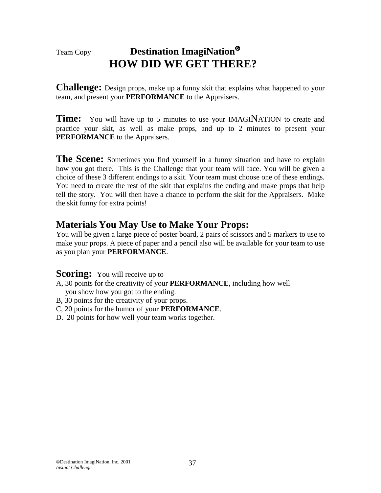# Team Copy **Destination ImagiNation HOW DID WE GET THERE?**

**Challenge:** Design props, make up a funny skit that explains what happened to your team, and present your **PERFORMANCE** to the Appraisers.

**Time:** You will have up to 5 minutes to use your IMAGINATION to create and practice your skit, as well as make props, and up to 2 minutes to present your **PERFORMANCE** to the Appraisers.

**The Scene:** Sometimes you find yourself in a funny situation and have to explain how you got there. This is the Challenge that your team will face. You will be given a choice of these 3 different endings to a skit. Your team must choose one of these endings. You need to create the rest of the skit that explains the ending and make props that help tell the story. You will then have a chance to perform the skit for the Appraisers. Make the skit funny for extra points!

# **Materials You May Use to Make Your Props:**

You will be given a large piece of poster board, 2 pairs of scissors and 5 markers to use to make your props. A piece of paper and a pencil also will be available for your team to use as you plan your **PERFORMANCE**.

- A, 30 points for the creativity of your **PERFORMANCE**, including how well you show how you got to the ending.
- B, 30 points for the creativity of your props.
- C, 20 points for the humor of your **PERFORMANCE**.
- D. 20 points for how well your team works together.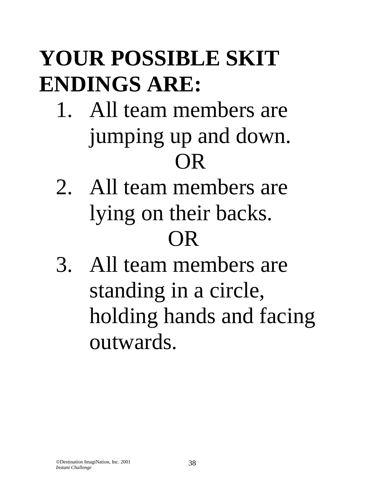# **YOUR POSSIBLE SKIT ENDINGS ARE:**

- 1. All team members are jumping up and down. OR
- 2. All team members are lying on their backs. OR
- 3. All team members are standing in a circle, holding hands and facing outwards.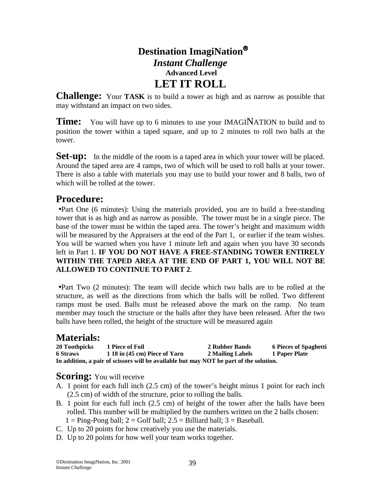# **Destination ImagiNation** *Instant Challenge*   **Advanced Level LET IT ROLL**

**Challenge:** Your **TASK** is to build a tower as high and as narrow as possible that may withstand an impact on two sides.

**Time:** You will have up to 6 minutes to use your IMAGINATION to build and to position the tower within a taped square, and up to 2 minutes to roll two balls at the tower.

**Set-up:** In the middle of the room is a taped area in which your tower will be placed. Around the taped area are 4 ramps, two of which will be used to roll balls at your tower. There is also a table with materials you may use to build your tower and 8 balls, two of which will be rolled at the tower.

# **Procedure:**

•Part One (6 minutes): Using the materials provided, you are to build a free-standing tower that is as high and as narrow as possible. The tower must be in a single piece. The base of the tower must be within the taped area. The tower's height and maximum width will be measured by the Appraisers at the end of the Part 1, or earlier if the team wishes. You will be warned when you have 1 minute left and again when you have 30 seconds left in Part 1. **IF YOU DO NOT HAVE A FREE-STANDING TOWER ENTIRELY WITHIN THE TAPED AREA AT THE END OF PART 1, YOU WILL NOT BE ALLOWED TO CONTINUE TO PART 2**.

•Part Two (2 minutes): The team will decide which two balls are to be rolled at the structure, as well as the directions from which the balls will be rolled. Two different ramps must be used. Balls must be released above the mark on the ramp. No team member may touch the structure or the balls after they have been released. After the two balls have been rolled, the height of the structure will be measured again

## **Materials:**

| 20 Toothpicks                                                                          | 1 Piece of Foil               | 2 Rubber Bands   | <b>6 Pieces of Spaghetti</b> |  |
|----------------------------------------------------------------------------------------|-------------------------------|------------------|------------------------------|--|
| <b>6 Straws</b>                                                                        | 1 18 in (45 cm) Piece of Yarn | 2 Mailing Labels | 1 Paper Plate                |  |
| In addition, a pair of scissors will be available but may NOT be part of the solution. |                               |                  |                              |  |

- **Scoring:** You will receive <br>A. 1 point for each full inch (2.5 cm) of the tower's height minus 1 point for each inch (2.5 cm) of width of the structure, prior to rolling the balls.
- B. 1 point for each full inch (2.5 cm) of height of the tower after the balls have been rolled. This number will be multiplied by the numbers written on the 2 balls chosen:
- $1 =$  Ping-Pong ball;  $2 =$  Golf ball;  $2.5 =$  Billiard ball;  $3 =$  Baseball.
- C. Up to 20 points for how creatively you use the materials.
- D. Up to 20 points for how well your team works together.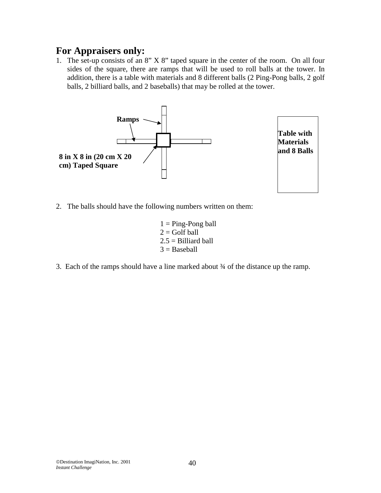1. The set-up consists of an 8" X 8" taped square in the center of the room. On all four sides of the square, there are ramps that will be used to roll balls at the tower. In addition, there is a table with materials and 8 different balls (2 Ping-Pong balls, 2 golf balls, 2 billiard balls, and 2 baseballs) that may be rolled at the tower.



**Table with Materials and 8 Balls** 

- 2. The balls should have the following numbers written on them:
	- $1 =$ Ping-Pong ball  $2 =$ Golf ball  $2.5 =$ Billiard ball  $3 =$ Baseball
- 3. Each of the ramps should have a line marked about ¾ of the distance up the ramp.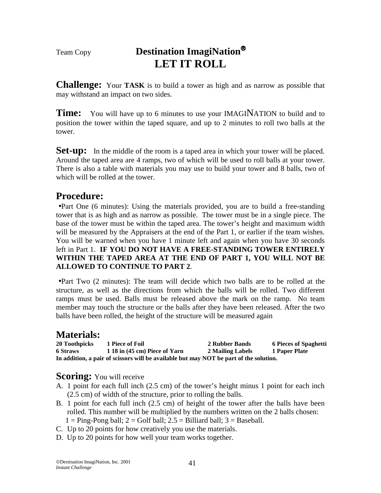# Team Copy **Destination ImagiNation LET IT ROLL**

**Challenge:** Your **TASK** is to build a tower as high and as narrow as possible that may withstand an impact on two sides.

**Time:** You will have up to 6 minutes to use your IMAGINATION to build and to position the tower within the taped square, and up to 2 minutes to roll two balls at the tower.

**Set-up:** In the middle of the room is a taped area in which your tower will be placed. Around the taped area are 4 ramps, two of which will be used to roll balls at your tower. There is also a table with materials you may use to build your tower and 8 balls, two of which will be rolled at the tower.

# **Procedure:**

•Part One (6 minutes): Using the materials provided, you are to build a free-standing tower that is as high and as narrow as possible. The tower must be in a single piece. The base of the tower must be within the taped area. The tower's height and maximum width will be measured by the Appraisers at the end of the Part 1, or earlier if the team wishes. You will be warned when you have 1 minute left and again when you have 30 seconds left in Part 1. **IF YOU DO NOT HAVE A FREE-STANDING TOWER ENTIRELY WITHIN THE TAPED AREA AT THE END OF PART 1, YOU WILL NOT BE ALLOWED TO CONTINUE TO PART 2**.

•Part Two (2 minutes): The team will decide which two balls are to be rolled at the structure, as well as the directions from which the balls will be rolled. Two different ramps must be used. Balls must be released above the mark on the ramp. No team member may touch the structure or the balls after they have been released. After the two balls have been rolled, the height of the structure will be measured again

# **Materials:**

| 20 Toothpicks                                                                          | 1 Piece of Foil               | 2 Rubber Bands   | <b>6 Pieces of Spaghetti</b> |  |  |
|----------------------------------------------------------------------------------------|-------------------------------|------------------|------------------------------|--|--|
| <b>6 Straws</b>                                                                        | 1 18 in (45 cm) Piece of Yarn | 2 Mailing Labels | 1 Paper Plate                |  |  |
| In addition, a pair of scissors will be available but may NOT be part of the solution. |                               |                  |                              |  |  |

- **Scoring:** You will receive <br>A. 1 point for each full inch (2.5 cm) of the tower's height minus 1 point for each inch (2.5 cm) of width of the structure, prior to rolling the balls.
- B. 1 point for each full inch (2.5 cm) of height of the tower after the balls have been rolled. This number will be multiplied by the numbers written on the 2 balls chosen:
- $1 =$  Ping-Pong ball;  $2 =$  Golf ball;  $2.5 =$  Billiard ball;  $3 =$  Baseball.
- C. Up to 20 points for how creatively you use the materials.
- D. Up to 20 points for how well your team works together.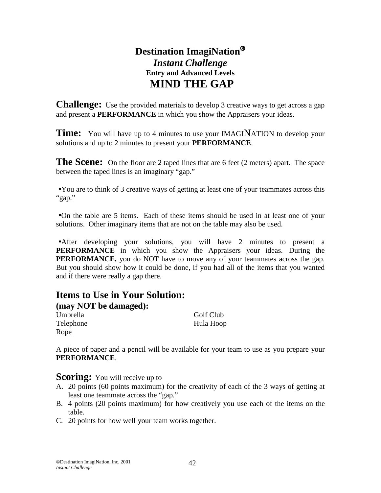# **Destination ImagiNation** *Instant Challenge*  **Entry and Advanced Levels MIND THE GAP**

**Challenge:** Use the provided materials to develop 3 creative ways to get across a gap and present a **PERFORMANCE** in which you show the Appraisers your ideas.

**Time:** You will have up to 4 minutes to use your **IMAGINATION** to develop your solutions and up to 2 minutes to present your **PERFORMANCE**.

**The Scene:** On the floor are 2 taped lines that are 6 feet (2 meters) apart. The space between the taped lines is an imaginary "gap."

•You are to think of 3 creative ways of getting at least one of your teammates across this "gap."

•On the table are 5 items. Each of these items should be used in at least one of your solutions. Other imaginary items that are not on the table may also be used.

•After developing your solutions, you will have 2 minutes to present a **PERFORMANCE** in which you show the Appraisers your ideas. During the **PERFORMANCE,** you do NOT have to move any of your teammates across the gap. But you should show how it could be done, if you had all of the items that you wanted and if there were really a gap there.

### **Items to Use in Your Solution: (may NOT be damaged):** Umbrella Golf Club Telephone Hula Hoop Rope

A piece of paper and a pencil will be available for your team to use as you prepare your **PERFORMANCE**.

### **Scoring:** You will receive up to

- A. 20 points (60 points maximum) for the creativity of each of the 3 ways of getting at least one teammate across the "gap."
- B. 4 points (20 points maximum) for how creatively you use each of the items on the table.
- C. 20 points for how well your team works together.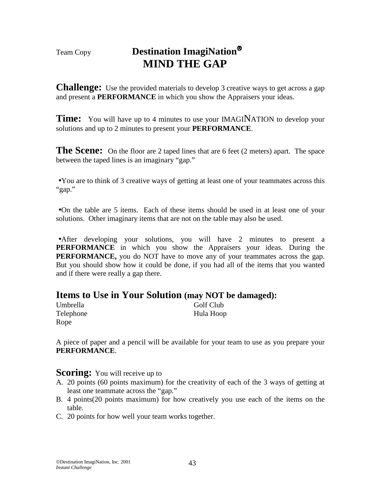# Team Copy **Destination ImagiNation MIND THE GAP**

**Challenge:** Use the provided materials to develop 3 creative ways to get across a gap and present a **PERFORMANCE** in which you show the Appraisers your ideas.

**Time:** You will have up to 4 minutes to use your **IMAGINATION** to develop your solutions and up to 2 minutes to present your **PERFORMANCE**.

**The Scene:** On the floor are 2 taped lines that are 6 feet (2 meters) apart. The space between the taped lines is an imaginary "gap."

•You are to think of 3 creative ways of getting at least one of your teammates across this "gap."

•On the table are 5 items. Each of these items should be used in at least one of your solutions. Other imaginary items that are not on the table may also be used.

•After developing your solutions, you will have 2 minutes to present a **PERFORMANCE** in which you show the Appraisers your ideas. During the **PERFORMANCE,** you do NOT have to move any of your teammates across the gap. But you should show how it could be done, if you had all of the items that you wanted and if there were really a gap there.

### **Items to Use in Your Solution (may NOT be damaged):**

| Umbrella  | Golf Club |
|-----------|-----------|
| Telephone | Hula Hoop |
| Rope      |           |

A piece of paper and a pencil will be available for your team to use as you prepare your **PERFORMANCE**.

### **Scoring:** You will receive up to

- A. 20 points (60 points maximum) for the creativity of each of the 3 ways of getting at least one teammate across the "gap."
- B. 4 points(20 points maximum) for how creatively you use each of the items on the table.
- C. 20 points for how well your team works together.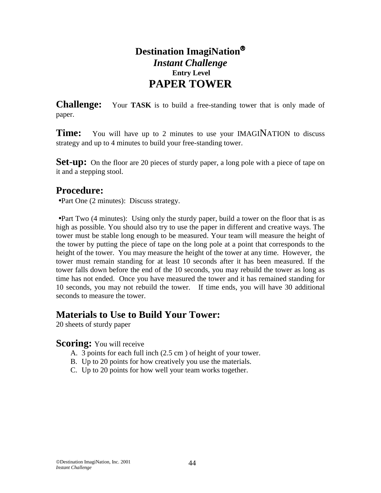# **Destination ImagiNation** *Instant Challenge*   **Entry Level PAPER TOWER**

**Challenge:** Your **TASK** is to build a free-standing tower that is only made of paper.

**Time:** You will have up to 2 minutes to use your IMAGINATION to discuss strategy and up to 4 minutes to build your free-standing tower.

**Set-up:** On the floor are 20 pieces of sturdy paper, a long pole with a piece of tape on it and a stepping stool.

## **Procedure:**

•Part One (2 minutes): Discuss strategy.

•Part Two (4 minutes): Using only the sturdy paper, build a tower on the floor that is as high as possible. You should also try to use the paper in different and creative ways. The tower must be stable long enough to be measured. Your team will measure the height of the tower by putting the piece of tape on the long pole at a point that corresponds to the height of the tower. You may measure the height of the tower at any time. However, the tower must remain standing for at least 10 seconds after it has been measured. If the tower falls down before the end of the 10 seconds, you may rebuild the tower as long as time has not ended. Once you have measured the tower and it has remained standing for 10 seconds, you may not rebuild the tower. If time ends, you will have 30 additional seconds to measure the tower.

## **Materials to Use to Build Your Tower:**

20 sheets of sturdy paper

- **Scoring:** You will receive<br>A. 3 points for each full inch (2.5 cm) of height of your tower.
	- B. Up to 20 points for how creatively you use the materials.
	- C. Up to 20 points for how well your team works together.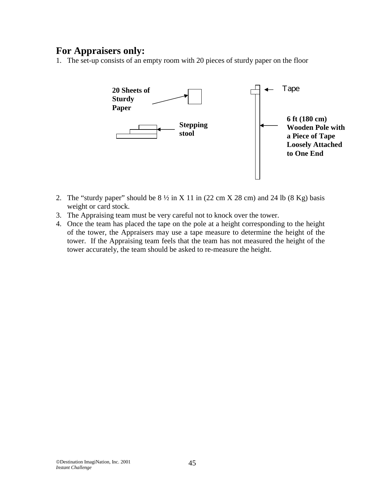1. The set-up consists of an empty room with 20 pieces of sturdy paper on the floor



- 2. The "sturdy paper" should be  $8\frac{1}{2}$  in X 11 in (22 cm X 28 cm) and 24 lb (8 Kg) basis weight or card stock.
- 3. The Appraising team must be very careful not to knock over the tower.
- 4. Once the team has placed the tape on the pole at a height corresponding to the height of the tower, the Appraisers may use a tape measure to determine the height of the tower. If the Appraising team feels that the team has not measured the height of the tower accurately, the team should be asked to re-measure the height.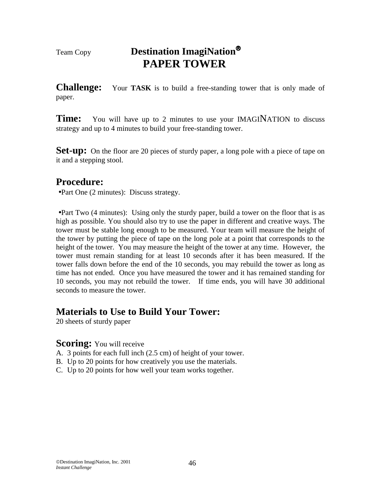# Team Copy **Destination ImagiNation PAPER TOWER**

**Challenge:** Your **TASK** is to build a free-standing tower that is only made of paper.

**Time:** You will have up to 2 minutes to use your IMAGINATION to discuss strategy and up to 4 minutes to build your free-standing tower.

**Set-up:** On the floor are 20 pieces of sturdy paper, a long pole with a piece of tape on it and a stepping stool.

# **Procedure:**

•Part One (2 minutes): Discuss strategy.

•Part Two (4 minutes): Using only the sturdy paper, build a tower on the floor that is as high as possible. You should also try to use the paper in different and creative ways. The tower must be stable long enough to be measured. Your team will measure the height of the tower by putting the piece of tape on the long pole at a point that corresponds to the height of the tower. You may measure the height of the tower at any time. However, the tower must remain standing for at least 10 seconds after it has been measured. If the tower falls down before the end of the 10 seconds, you may rebuild the tower as long as time has not ended. Once you have measured the tower and it has remained standing for 10 seconds, you may not rebuild the tower. If time ends, you will have 30 additional seconds to measure the tower.

## **Materials to Use to Build Your Tower:**

20 sheets of sturdy paper

- **Scoring:** You will receive<br>A. 3 points for each full inch (2.5 cm) of height of your tower.
- B. Up to 20 points for how creatively you use the materials.
- C. Up to 20 points for how well your team works together.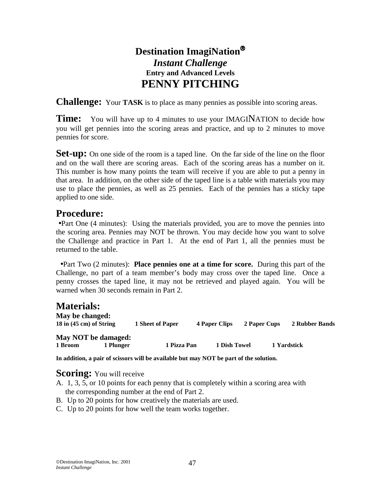# **Destination ImagiNation** *Instant Challenge*  **Entry and Advanced Levels PENNY PITCHING**

**Challenge:** Your **TASK** is to place as many pennies as possible into scoring areas.

**Time:** You will have up to 4 minutes to use your IMAGINATION to decide how you will get pennies into the scoring areas and practice, and up to 2 minutes to move pennies for score.

**Set-up:** On one side of the room is a taped line. On the far side of the line on the floor and on the wall there are scoring areas. Each of the scoring areas has a number on it. This number is how many points the team will receive if you are able to put a penny in that area. In addition, on the other side of the taped line is a table with materials you may use to place the pennies, as well as 25 pennies. Each of the pennies has a sticky tape applied to one side.

# **Procedure:**

•Part One (4 minutes): Using the materials provided, you are to move the pennies into the scoring area. Pennies may NOT be thrown. You may decide how you want to solve the Challenge and practice in Part 1. At the end of Part 1, all the pennies must be returned to the table.

 •Part Two (2 minutes): **Place pennies one at a time for score.** During this part of the Challenge, no part of a team member's body may cross over the taped line. Once a penny crosses the taped line, it may not be retrieved and played again. You will be warned when 30 seconds remain in Part 2.

# **Materials:**

| May be changed:<br>$18$ in $(45 \text{ cm})$ of String |           | 1 Sheet of Paper | <b>4 Paper Clips</b> | 2 Paper Cups | 2 Rubber Bands |
|--------------------------------------------------------|-----------|------------------|----------------------|--------------|----------------|
| May NOT be damaged:                                    |           |                  |                      |              |                |
| 1 Broom                                                | 1 Plunger | 1 Pizza Pan      | 1 Dish Towel         |              | 1 Yardstick    |

**In addition, a pair of scissors will be available but may NOT be part of the solution.** 

- **Scoring:** You will receive <br>A. 1, 3, 5, or 10 points for each penny that is completely within a scoring area with the corresponding number at the end of Part 2.
- B. Up to 20 points for how creatively the materials are used.
- C. Up to 20 points for how well the team works together.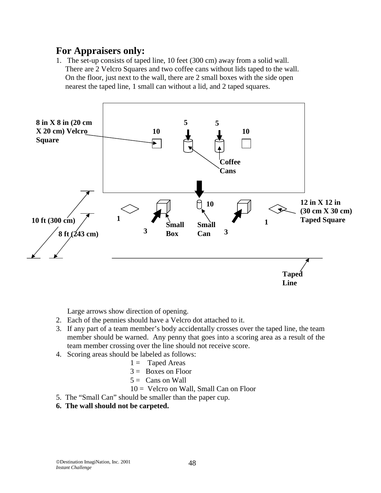1. The set-up consists of taped line, 10 feet (300 cm) away from a solid wall. There are 2 Velcro Squares and two coffee cans without lids taped to the wall. On the floor, just next to the wall, there are 2 small boxes with the side open nearest the taped line, 1 small can without a lid, and 2 taped squares.



Large arrows show direction of opening.

- 2. Each of the pennies should have a Velcro dot attached to it.
- 3. If any part of a team member's body accidentally crosses over the taped line, the team member should be warned. Any penny that goes into a scoring area as a result of the team member crossing over the line should not receive score.
- 4. Scoring areas should be labeled as follows:
	- $1 =$ Taped Areas
	- $3 =$  Boxes on Floor
	- $5 =$  Cans on Wall
	- 10 = Velcro on Wall, Small Can on Floor
- 5. The "Small Can" should be smaller than the paper cup.
- **6. The wall should not be carpeted.**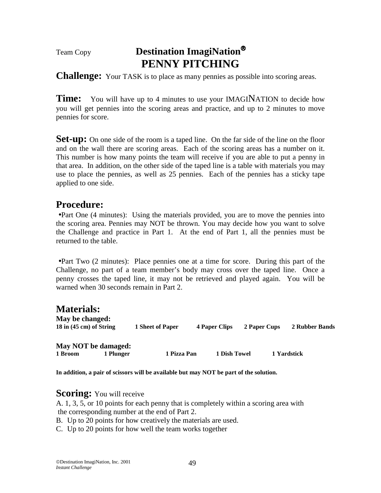# Team Copy **Destination ImagiNation PENNY PITCHING**

**Challenge:** Your TASK is to place as many pennies as possible into scoring areas.

**Time:** You will have up to 4 minutes to use your IMAGINATION to decide how you will get pennies into the scoring areas and practice, and up to 2 minutes to move pennies for score.

**Set-up:** On one side of the room is a taped line. On the far side of the line on the floor and on the wall there are scoring areas. Each of the scoring areas has a number on it. This number is how many points the team will receive if you are able to put a penny in that area. In addition, on the other side of the taped line is a table with materials you may use to place the pennies, as well as 25 pennies. Each of the pennies has a sticky tape applied to one side.

## **Procedure:**

•Part One (4 minutes): Using the materials provided, you are to move the pennies into the scoring area. Pennies may NOT be thrown. You may decide how you want to solve the Challenge and practice in Part 1. At the end of Part 1, all the pennies must be returned to the table.

•Part Two (2 minutes): Place pennies one at a time for score. During this part of the Challenge, no part of a team member's body may cross over the taped line. Once a penny crosses the taped line, it may not be retrieved and played again. You will be warned when 30 seconds remain in Part 2.

# **Materials:**

| May be changed:<br>18 in $(45 \text{ cm})$ of String |           | 1 Sheet of Paper | <b>4 Paper Clips</b> | 2 Paper Cups | 2 Rubber Bands |
|------------------------------------------------------|-----------|------------------|----------------------|--------------|----------------|
| May NOT be damaged:<br>1 Broom                       | 1 Plunger | 1 Pizza Pan      | 1 Dish Towel         |              | 1 Yardstick    |

**In addition, a pair of scissors will be available but may NOT be part of the solution.** 

**Scoring:** You will receive A. 1, 3, 5, or 10 points for each penny that is completely within a scoring area with the corresponding number at the end of Part 2.

- B. Up to 20 points for how creatively the materials are used.
- C. Up to 20 points for how well the team works together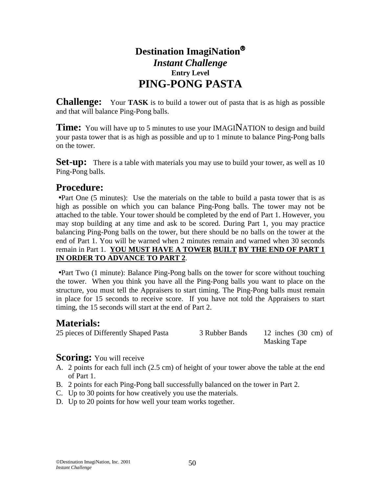# **Destination ImagiNation** *Instant Challenge*  **Entry Level PING-PONG PASTA**

**Challenge:** Your **TASK** is to build a tower out of pasta that is as high as possible and that will balance Ping-Pong balls.

**Time:** You will have up to 5 minutes to use your IMAGINATION to design and build your pasta tower that is as high as possible and up to 1 minute to balance Ping-Pong balls on the tower.

**Set-up:** There is a table with materials you may use to build your tower, as well as 10 Ping-Pong balls.

# **Procedure:**

•Part One (5 minutes): Use the materials on the table to build a pasta tower that is as high as possible on which you can balance Ping-Pong balls. The tower may not be attached to the table. Your tower should be completed by the end of Part 1. However, you may stop building at any time and ask to be scored. During Part 1, you may practice balancing Ping-Pong balls on the tower, but there should be no balls on the tower at the end of Part 1. You will be warned when 2 minutes remain and warned when 30 seconds remain in Part 1. **YOU MUST HAVE A TOWER BUILT BY THE END OF PART 1 IN ORDER TO ADVANCE TO PART 2**.

•Part Two (1 minute): Balance Ping-Pong balls on the tower for score without touching the tower. When you think you have all the Ping-Pong balls you want to place on the structure, you must tell the Appraisers to start timing. The Ping-Pong balls must remain in place for 15 seconds to receive score. If you have not told the Appraisers to start timing, the 15 seconds will start at the end of Part 2.

# **Materials:**

25 pieces of Differently Shaped Pasta 3 Rubber Bands 12 inches (30 cm) of

Masking Tape

- **Scoring:** You will receive <br>A. 2 points for each full inch (2.5 cm) of height of your tower above the table at the end of Part 1.
- B. 2 points for each Ping-Pong ball successfully balanced on the tower in Part 2.
- C. Up to 30 points for how creatively you use the materials.
- D. Up to 20 points for how well your team works together.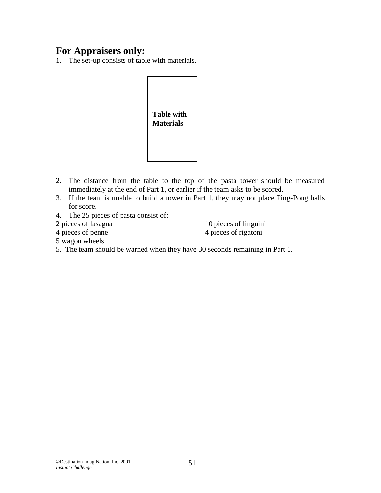1. The set-up consists of table with materials.



- 2. The distance from the table to the top of the pasta tower should be measured immediately at the end of Part 1, or earlier if the team asks to be scored.
- 3. If the team is unable to build a tower in Part 1, they may not place Ping-Pong balls for score.
- 4. The 25 pieces of pasta consist of:
- 
- 

2 pieces of lasagna 10 pieces of linguini 4 pieces of penne 4 pieces of rigatoni

- 5 wagon wheels
- 5. The team should be warned when they have 30 seconds remaining in Part 1.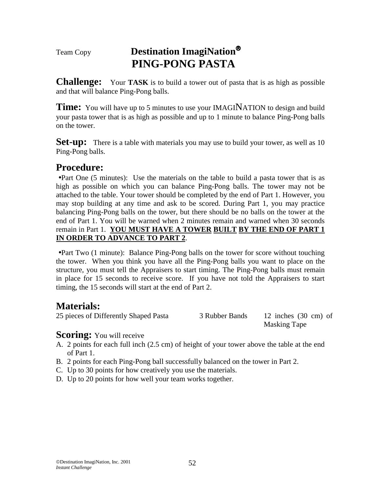# Team Copy **Destination ImagiNation PING-PONG PASTA**

**Challenge:** Your **TASK** is to build a tower out of pasta that is as high as possible and that will balance Ping-Pong balls.

**Time:** You will have up to 5 minutes to use your IMAGINATION to design and build your pasta tower that is as high as possible and up to 1 minute to balance Ping-Pong balls on the tower.

**Set-up:** There is a table with materials you may use to build your tower, as well as 10 Ping-Pong balls.

# **Procedure:**

•Part One (5 minutes): Use the materials on the table to build a pasta tower that is as high as possible on which you can balance Ping-Pong balls. The tower may not be attached to the table. Your tower should be completed by the end of Part 1. However, you may stop building at any time and ask to be scored. During Part 1, you may practice balancing Ping-Pong balls on the tower, but there should be no balls on the tower at the end of Part 1. You will be warned when 2 minutes remain and warned when 30 seconds remain in Part 1. **YOU MUST HAVE A TOWER BUILT BY THE END OF PART 1 IN ORDER TO ADVANCE TO PART 2**.

•Part Two (1 minute): Balance Ping-Pong balls on the tower for score without touching the tower. When you think you have all the Ping-Pong balls you want to place on the structure, you must tell the Appraisers to start timing. The Ping-Pong balls must remain in place for 15 seconds to receive score. If you have not told the Appraisers to start timing, the 15 seconds will start at the end of Part 2.

# **Materials:**

25 pieces of Differently Shaped Pasta 3 Rubber Bands 12 inches (30 cm) of

Masking Tape

- **Scoring:** You will receive <br>A. 2 points for each full inch (2.5 cm) of height of your tower above the table at the end of Part 1.
- B. 2 points for each Ping-Pong ball successfully balanced on the tower in Part 2.
- C. Up to 30 points for how creatively you use the materials.
- D. Up to 20 points for how well your team works together.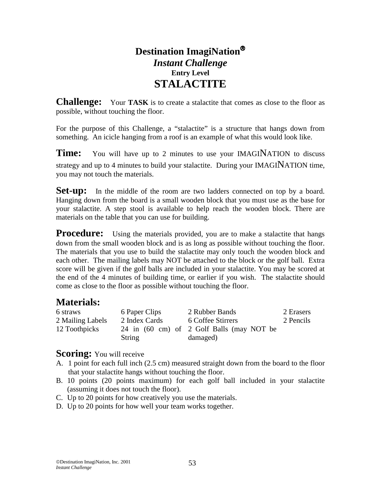# **Destination ImagiNation** *Instant Challenge*  **Entry Level STALACTITE**

**Challenge:** Your **TASK** is to create a stalactite that comes as close to the floor as possible, without touching the floor.

For the purpose of this Challenge, a "stalactite" is a structure that hangs down from something. An icicle hanging from a roof is an example of what this would look like.

**Time:** You will have up to 2 minutes to use your IMAGINATION to discuss strategy and up to 4 minutes to build your stalactite. During your IMAGINATION time, you may not touch the materials.

**Set-up:** In the middle of the room are two ladders connected on top by a board. Hanging down from the board is a small wooden block that you must use as the base for your stalactite. A step stool is available to help reach the wooden block. There are materials on the table that you can use for building.

**Procedure:** Using the materials provided, you are to make a stalactite that hangs down from the small wooden block and is as long as possible without touching the floor. The materials that you use to build the stalactite may only touch the wooden block and each other. The mailing labels may NOT be attached to the block or the golf ball. Extra score will be given if the golf balls are included in your stalactite. You may be scored at the end of the 4 minutes of building time, or earlier if you wish. The stalactite should come as close to the floor as possible without touching the floor.

# **Materials:**

| 6 straws         | 6 Paper Clips | 2 Rubber Bands                            | 2 Erasers |
|------------------|---------------|-------------------------------------------|-----------|
| 2 Mailing Labels | 2 Index Cards | 6 Coffee Stirrers                         | 2 Pencils |
| 12 Toothpicks    |               | 24 in (60 cm) of 2 Golf Balls (may NOT be |           |
|                  | String        | damaged)                                  |           |

- **Scoring:** You will receive <br>A. 1 point for each full inch (2.5 cm) measured straight down from the board to the floor that your stalactite hangs without touching the floor.
- B. 10 points (20 points maximum) for each golf ball included in your stalactite (assuming it does not touch the floor).
- C. Up to 20 points for how creatively you use the materials.
- D. Up to 20 points for how well your team works together.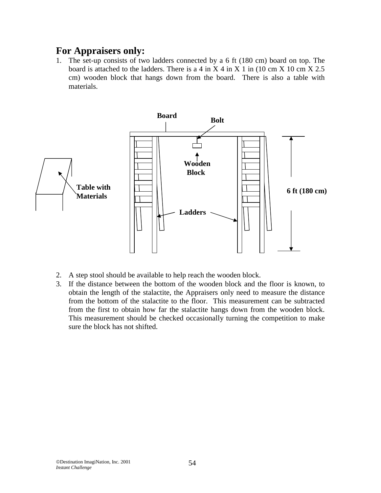1. The set-up consists of two ladders connected by a 6 ft (180 cm) board on top. The board is attached to the ladders. There is a 4 in X 4 in X 1 in (10 cm X 10 cm X 2.5) cm) wooden block that hangs down from the board. There is also a table with materials.



- 2. A step stool should be available to help reach the wooden block.
- 3. If the distance between the bottom of the wooden block and the floor is known, to obtain the length of the stalactite, the Appraisers only need to measure the distance from the bottom of the stalactite to the floor. This measurement can be subtracted from the first to obtain how far the stalactite hangs down from the wooden block. This measurement should be checked occasionally turning the competition to make sure the block has not shifted.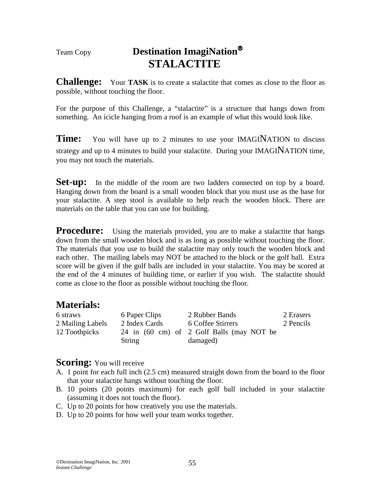# Team Copy **Destination ImagiNation STALACTITE**

**Challenge:** Your **TASK** is to create a stalactite that comes as close to the floor as possible, without touching the floor.

For the purpose of this Challenge, a "stalactite" is a structure that hangs down from something. An icicle hanging from a roof is an example of what this would look like.

**Time:** You will have up to 2 minutes to use your IMAGINATION to discuss strategy and up to 4 minutes to build your stalactite. During your IMAGINATION time, you may not touch the materials.

**Set-up:** In the middle of the room are two ladders connected on top by a board. Hanging down from the board is a small wooden block that you must use as the base for your stalactite. A step stool is available to help reach the wooden block. There are materials on the table that you can use for building.

**Procedure:** Using the materials provided, you are to make a stalactite that hangs down from the small wooden block and is as long as possible without touching the floor. The materials that you use to build the stalactite may only touch the wooden block and each other. The mailing labels may NOT be attached to the block or the golf ball. Extra score will be given if the golf balls are included in your stalactite. You may be scored at the end of the 4 minutes of building time, or earlier if you wish. The stalactite should come as close to the floor as possible without touching the floor.

# **Materials:**

| 6 straws         | 6 Paper Clips | 2 Rubber Bands                            | 2 Erasers |
|------------------|---------------|-------------------------------------------|-----------|
| 2 Mailing Labels | 2 Index Cards | 6 Coffee Stirrers                         | 2 Pencils |
| 12 Toothpicks    |               | 24 in (60 cm) of 2 Golf Balls (may NOT be |           |
|                  | String        | damaged)                                  |           |

- **Scoring:** You will receive <br>A. 1 point for each full inch (2.5 cm) measured straight down from the board to the floor that your stalactite hangs without touching the floor.
- B. 10 points (20 points maximum) for each golf ball included in your stalactite (assuming it does not touch the floor).
- C. Up to 20 points for how creatively you use the materials.
- D. Up to 20 points for how well your team works together.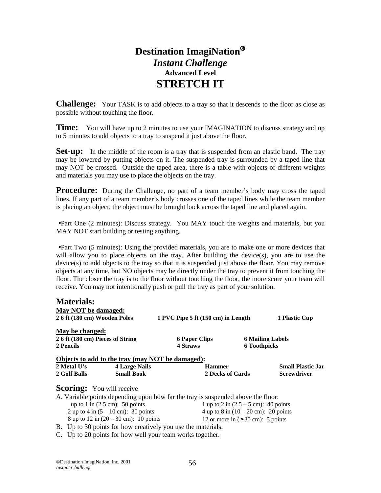# **Destination ImagiNation** *Instant Challenge*  **Advanced Level STRETCH IT**

**Challenge:** Your TASK is to add objects to a tray so that it descends to the floor as close as possible without touching the floor.

**Time:** You will have up to 2 minutes to use your IMAGINATION to discuss strategy and up to 5 minutes to add objects to a tray to suspend it just above the floor.

**Set-up:** In the middle of the room is a tray that is suspended from an elastic band. The tray may be lowered by putting objects on it. The suspended tray is surrounded by a taped line that may NOT be crossed. Outside the taped area, there is a table with objects of different weights and materials you may use to place the objects on the tray.

**Procedure:** During the Challenge, no part of a team member's body may cross the taped lines. If any part of a team member's body crosses one of the taped lines while the team member is placing an object, the object must be brought back across the taped line and placed again.

•Part One (2 minutes): Discuss strategy. You MAY touch the weights and materials, but you MAY NOT start building or testing anything.

•Part Two (5 minutes): Using the provided materials, you are to make one or more devices that will allow you to place objects on the tray. After building the device(s), you are to use the device(s) to add objects to the tray so that it is suspended just above the floor. You may remove objects at any time, but NO objects may be directly under the tray to prevent it from touching the floor. The closer the tray is to the floor without touching the floor, the more score your team will receive. You may not intentionally push or pull the tray as part of your solution.

| <b>Materials:</b>                |                                                  |                                    |                     |                          |
|----------------------------------|--------------------------------------------------|------------------------------------|---------------------|--------------------------|
| May NOT be damaged:              |                                                  |                                    |                     |                          |
| 2 6 ft (180 cm) Wooden Poles     |                                                  | 1 PVC Pipe 5 ft (150 cm) in Length |                     | 1 Plastic Cup            |
| May be changed:                  |                                                  |                                    |                     |                          |
| 2 6 ft (180 cm) Pieces of String |                                                  | <b>6 Paper Clips</b>               |                     | <b>6 Mailing Labels</b>  |
| 2 Pencils                        |                                                  | 4 Straws                           | <b>6 Toothpicks</b> |                          |
|                                  | Objects to add to the tray (may NOT be damaged): |                                    |                     |                          |
| 2 Metal U's                      | <b>4 Large Nails</b>                             | <b>Hammer</b>                      |                     | <b>Small Plastic Jar</b> |
| 2 Golf Balls                     | <b>Small Book</b>                                | 2 Decks of Cards                   |                     | <b>Screwdriver</b>       |
| <b>Scoring:</b> You will receive |                                                  |                                    |                     |                          |

| A. Variable points depending upon how far the tray is suspended above the floor: |                                                 |
|----------------------------------------------------------------------------------|-------------------------------------------------|
| up to 1 in $(2.5 \text{ cm})$ : 50 points                                        | 1 up to 2 in $(2.5 - 5$ cm): 40 points          |
| 2 up to 4 in $(5 - 10 \text{ cm})$ : 30 points                                   | 4 up to 8 in $(10 - 20 \text{ cm})$ : 20 points |
| 8 up to 12 in $(20 - 30 \text{ cm})$ : 10 points                                 | 12 or more in $(\geq 30 \text{ cm})$ : 5 points |

B. Up to 30 points for how creatively you use the materials.

C. Up to 20 points for how well your team works together.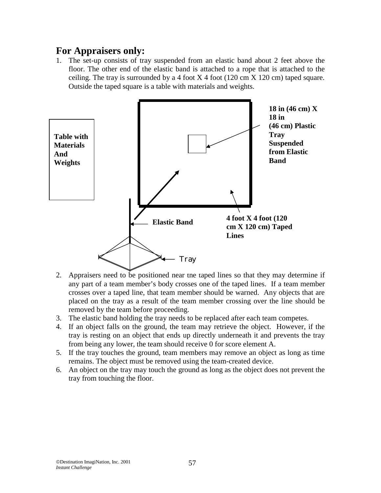1. The set-up consists of tray suspended from an elastic band about 2 feet above the floor. The other end of the elastic band is attached to a rope that is attached to the ceiling. The tray is surrounded by a 4 foot  $X$  4 foot (120 cm  $X$  120 cm) taped square. Outside the taped square is a table with materials and weights.



- 2. Appraisers need to be positioned near the taped lines so that they may determine if any part of a team member's body crosses one of the taped lines. If a team member crosses over a taped line, that team member should be warned. Any objects that are placed on the tray as a result of the team member crossing over the line should be removed by the team before proceeding.
- 3. The elastic band holding the tray needs to be replaced after each team competes.
- 4. If an object falls on the ground, the team may retrieve the object. However, if the tray is resting on an object that ends up directly underneath it and prevents the tray from being any lower, the team should receive 0 for score element A.
- 5. If the tray touches the ground, team members may remove an object as long as time remains. The object must be removed using the team-created device.
- 6. An object on the tray may touch the ground as long as the object does not prevent the tray from touching the floor.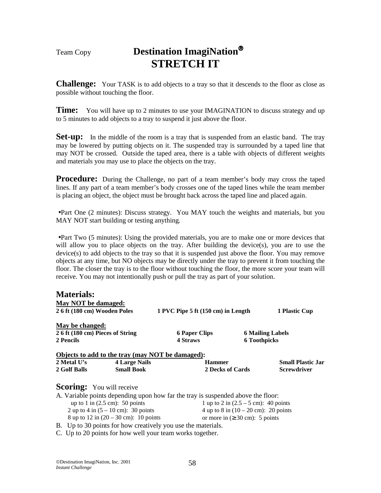# Team Copy **Destination ImagiNation STRETCH IT**

**Challenge:** Your TASK is to add objects to a tray so that it descends to the floor as close as possible without touching the floor.

**Time:** You will have up to 2 minutes to use your IMAGINATION to discuss strategy and up to 5 minutes to add objects to a tray to suspend it just above the floor.

**Set-up:** In the middle of the room is a tray that is suspended from an elastic band. The tray may be lowered by putting objects on it. The suspended tray is surrounded by a taped line that may NOT be crossed. Outside the taped area, there is a table with objects of different weights and materials you may use to place the objects on the tray.

**Procedure:** During the Challenge, no part of a team member's body may cross the taped lines. If any part of a team member's body crosses one of the taped lines while the team member is placing an object, the object must be brought back across the taped line and placed again.

•Part One (2 minutes): Discuss strategy. You MAY touch the weights and materials, but you MAY NOT start building or testing anything.

•Part Two (5 minutes): Using the provided materials, you are to make one or more devices that will allow you to place objects on the tray. After building the device(s), you are to use the device(s) to add objects to the tray so that it is suspended just above the floor. You may remove objects at any time, but NO objects may be directly under the tray to prevent it from touching the floor. The closer the tray is to the floor without touching the floor, the more score your team will receive. You may not intentionally push or pull the tray as part of your solution.

| <b>Materials:</b>                                        |                      |                                                  |                     |                          |
|----------------------------------------------------------|----------------------|--------------------------------------------------|---------------------|--------------------------|
| May NOT be damaged:                                      |                      |                                                  |                     |                          |
| 26 ft (180 cm) Wooden Poles                              |                      | 1 PVC Pipe 5 ft (150 cm) in Length               |                     | 1 Plastic Cup            |
| May be changed:                                          |                      |                                                  |                     |                          |
| 2 6 ft (180 cm) Pieces of String                         |                      | <b>6 Paper Clips</b>                             |                     | <b>6 Mailing Labels</b>  |
| 2 Pencils                                                |                      | <b>4 Straws</b>                                  | <b>6 Toothpicks</b> |                          |
|                                                          |                      | Objects to add to the tray (may NOT be damaged): |                     |                          |
| 2 Metal U's                                              | <b>4 Large Nails</b> | <b>Hammer</b>                                    |                     | <b>Small Plastic Jar</b> |
| 2 Golf Balls                                             | <b>Small Book</b>    | 2 Decks of Cards                                 |                     | <b>Screwdriver</b>       |
| $\mathbf{Conrimo}$ $\mathbf{V}_{\text{ou}}$ will receive |                      |                                                  |                     |                          |

### **Scoring:** You will receive

|                                                | A. Variable points depending upon how far the tray is suspended above the floor: |
|------------------------------------------------|----------------------------------------------------------------------------------|
| up to 1 in $(2.5 \text{ cm})$ : 50 points      | 1 up to 2 in $(2.5 - 5$ cm): 40 points                                           |
| 2 up to 4 in $(5 - 10 \text{ cm})$ : 30 points | 4 up to 8 in $(10 - 20 \text{ cm})$ : 20 points                                  |
| 8 up to $12$ in $(20 - 30$ cm): 10 points      | or more in $( \geq 30 \text{ cm})$ : 5 points                                    |
|                                                |                                                                                  |

B. Up to 30 points for how creatively you use the materials.

C. Up to 20 points for how well your team works together.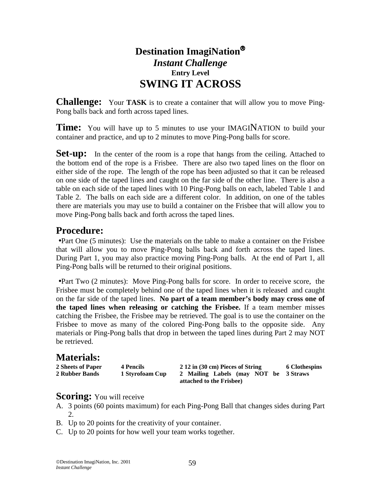# **Destination ImagiNation** *Instant Challenge*  **Entry Level SWING IT ACROSS**

**Challenge:** Your **TASK** is to create a container that will allow you to move Ping-Pong balls back and forth across taped lines.

**Time:** You will have up to 5 minutes to use your IMAGINATION to build your container and practice, and up to 2 minutes to move Ping-Pong balls for score.

**Set-up:** In the center of the room is a rope that hangs from the ceiling. Attached to the bottom end of the rope is a Frisbee. There are also two taped lines on the floor on either side of the rope. The length of the rope has been adjusted so that it can be released on one side of the taped lines and caught on the far side of the other line. There is also a table on each side of the taped lines with 10 Ping-Pong balls on each, labeled Table 1 and Table 2. The balls on each side are a different color. In addition, on one of the tables there are materials you may use to build a container on the Frisbee that will allow you to move Ping-Pong balls back and forth across the taped lines.

## **Procedure:**

•Part One (5 minutes): Use the materials on the table to make a container on the Frisbee that will allow you to move Ping-Pong balls back and forth across the taped lines. During Part 1, you may also practice moving Ping-Pong balls. At the end of Part 1, all Ping-Pong balls will be returned to their original positions.

•Part Two (2 minutes): Move Ping-Pong balls for score. In order to receive score, the Frisbee must be completely behind one of the taped lines when it is released and caught on the far side of the taped lines. **No part of a team member's body may cross one of the taped lines when releasing or catching the Frisbee.** If a team member misses catching the Frisbee, the Frisbee may be retrieved. The goal is to use the container on the Frisbee to move as many of the colored Ping-Pong balls to the opposite side. Any materials or Ping-Pong balls that drop in between the taped lines during Part 2 may NOT be retrieved.

## **Materials:**

| 2 Sheets of Paper | 4 Pencils       | 2 12 in (30 cm) Pieces of String      | 6 Clothespins |
|-------------------|-----------------|---------------------------------------|---------------|
| 2 Rubber Bands    | 1 Styrofoam Cup | 2 Mailing Labels (may NOT be 3 Straws |               |
|                   |                 | attached to the Frisbee)              |               |

- **Scoring:** You will receive <br>A. 3 points (60 points maximum) for each Ping-Pong Ball that changes sides during Part 2.
- B. Up to 20 points for the creativity of your container.
- C. Up to 20 points for how well your team works together.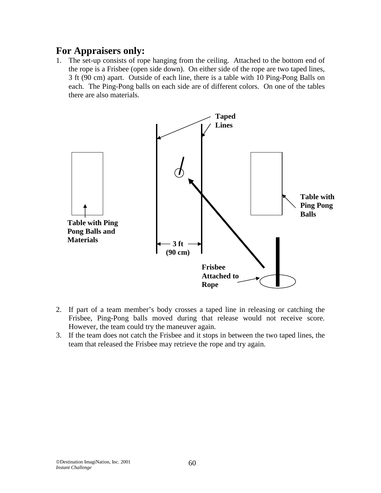1. The set-up consists of rope hanging from the ceiling. Attached to the bottom end of the rope is a Frisbee (open side down). On either side of the rope are two taped lines, 3 ft (90 cm) apart. Outside of each line, there is a table with 10 Ping-Pong Balls on each. The Ping-Pong balls on each side are of different colors. On one of the tables there are also materials.



- 2. If part of a team member's body crosses a taped line in releasing or catching the Frisbee, Ping-Pong balls moved during that release would not receive score. However, the team could try the maneuver again.
- 3. If the team does not catch the Frisbee and it stops in between the two taped lines, the team that released the Frisbee may retrieve the rope and try again.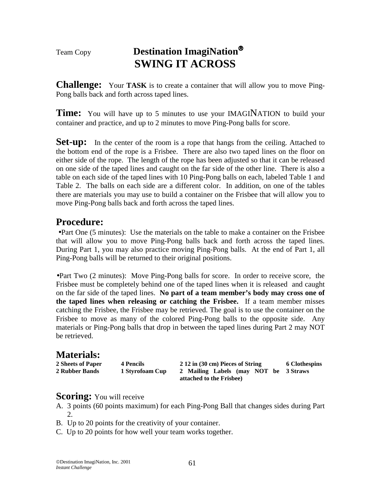# Team Copy **Destination ImagiNation SWING IT ACROSS**

**Challenge:** Your **TASK** is to create a container that will allow you to move Ping-Pong balls back and forth across taped lines.

**Time:** You will have up to 5 minutes to use your IMAGINATION to build your container and practice, and up to 2 minutes to move Ping-Pong balls for score.

**Set-up:** In the center of the room is a rope that hangs from the ceiling. Attached to the bottom end of the rope is a Frisbee. There are also two taped lines on the floor on either side of the rope. The length of the rope has been adjusted so that it can be released on one side of the taped lines and caught on the far side of the other line. There is also a table on each side of the taped lines with 10 Ping-Pong balls on each, labeled Table 1 and Table 2. The balls on each side are a different color. In addition, on one of the tables there are materials you may use to build a container on the Frisbee that will allow you to move Ping-Pong balls back and forth across the taped lines.

# **Procedure:**

•Part One (5 minutes): Use the materials on the table to make a container on the Frisbee that will allow you to move Ping-Pong balls back and forth across the taped lines. During Part 1, you may also practice moving Ping-Pong balls. At the end of Part 1, all Ping-Pong balls will be returned to their original positions.

•Part Two (2 minutes): Move Ping-Pong balls for score. In order to receive score, the Frisbee must be completely behind one of the taped lines when it is released and caught on the far side of the taped lines. **No part of a team member's body may cross one of the taped lines when releasing or catching the Frisbee.** If a team member misses catching the Frisbee, the Frisbee may be retrieved. The goal is to use the container on the Frisbee to move as many of the colored Ping-Pong balls to the opposite side. Any materials or Ping-Pong balls that drop in between the taped lines during Part 2 may NOT be retrieved.

# **Materials:**

**2 Sheets of Paper 4 Pencils 2 12 in (30 cm) Pieces of String 6 Clothespins 2 Rubber Bands 1 Styrofoam Cup 2 Mailing Labels (may NOT be 3 Straws attached to the Frisbee)** 

- **Scoring:** You will receive<br>A. 3 points (60 points maximum) for each Ping-Pong Ball that changes sides during Part 2.
- B. Up to 20 points for the creativity of your container.
- C. Up to 20 points for how well your team works together.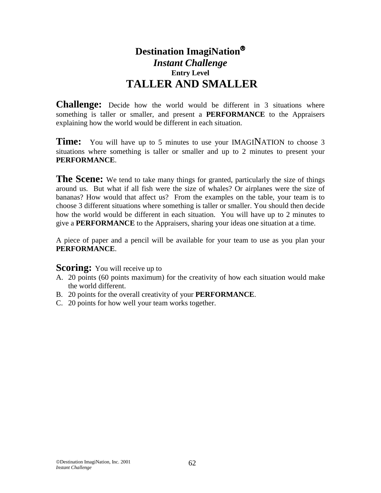# **Destination ImagiNation** *Instant Challenge*  **Entry Level TALLER AND SMALLER**

**Challenge:** Decide how the world would be different in 3 situations where something is taller or smaller, and present a **PERFORMANCE** to the Appraisers explaining how the world would be different in each situation.

**Time:** You will have up to 5 minutes to use your IMAGINATION to choose 3 situations where something is taller or smaller and up to 2 minutes to present your **PERFORMANCE**.

**The Scene:** We tend to take many things for granted, particularly the size of things around us. But what if all fish were the size of whales? Or airplanes were the size of bananas? How would that affect us? From the examples on the table, your team is to choose 3 different situations where something is taller or smaller. You should then decide how the world would be different in each situation. You will have up to 2 minutes to give a **PERFORMANCE** to the Appraisers, sharing your ideas one situation at a time.

A piece of paper and a pencil will be available for your team to use as you plan your **PERFORMANCE**.

### **Scoring:** You will receive up to

- A. 20 points (60 points maximum) for the creativity of how each situation would make the world different.
- B. 20 points for the overall creativity of your **PERFORMANCE**.
- C. 20 points for how well your team works together.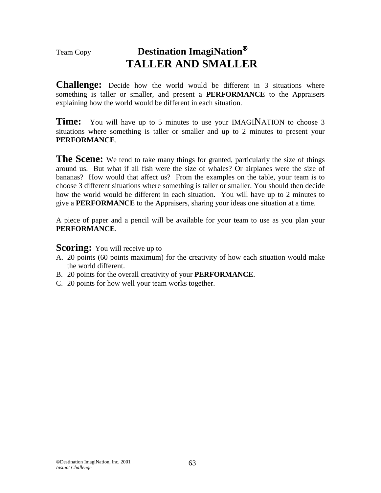# Team Copy **Destination ImagiNation TALLER AND SMALLER**

**Challenge:** Decide how the world would be different in 3 situations where something is taller or smaller, and present a **PERFORMANCE** to the Appraisers explaining how the world would be different in each situation.

**Time:** You will have up to 5 minutes to use your IMAGINATION to choose 3 situations where something is taller or smaller and up to 2 minutes to present your **PERFORMANCE**.

The Scene: We tend to take many things for granted, particularly the size of things around us. But what if all fish were the size of whales? Or airplanes were the size of bananas? How would that affect us? From the examples on the table, your team is to choose 3 different situations where something is taller or smaller. You should then decide how the world would be different in each situation. You will have up to 2 minutes to give a **PERFORMANCE** to the Appraisers, sharing your ideas one situation at a time.

A piece of paper and a pencil will be available for your team to use as you plan your **PERFORMANCE**.

**Scoring:** You will receive up to

- A. 20 points (60 points maximum) for the creativity of how each situation would make the world different.
- B. 20 points for the overall creativity of your **PERFORMANCE**.
- C. 20 points for how well your team works together.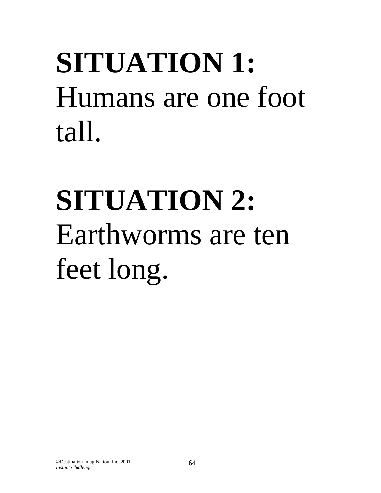# **SITUATION 1:**  Humans are one foot tall.

# **SITUATION 2:**  Earthworms are ten feet long.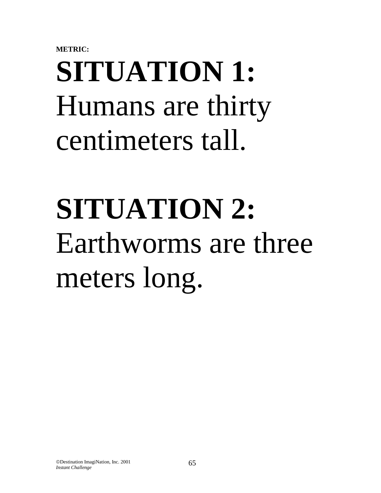**METRIC:** 

# **SITUATION 1:**  Humans are thirty centimeters tall.

# **SITUATION 2:**  Earthworms are three meters long.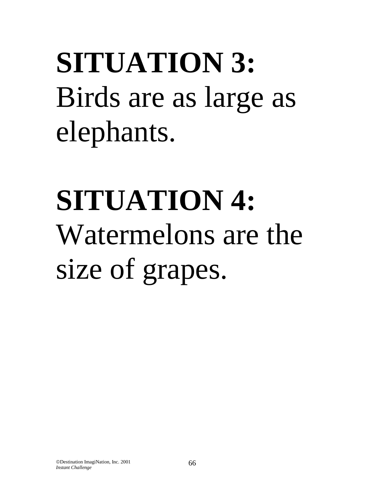**SITUATION 3:**  Birds are as large as elephants.

# **SITUATION 4:**  Watermelons are the size of grapes.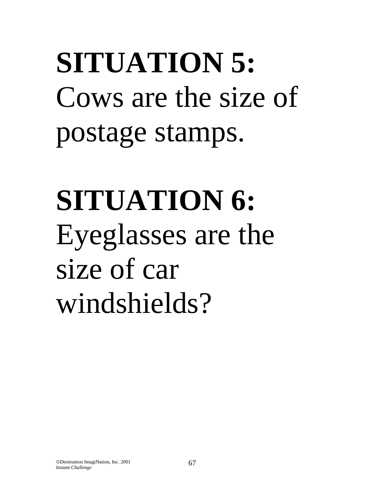**SITUATION 5:**  Cows are the size of postage stamps.

**SITUATION 6:**  Eyeglasses are the size of car windshields?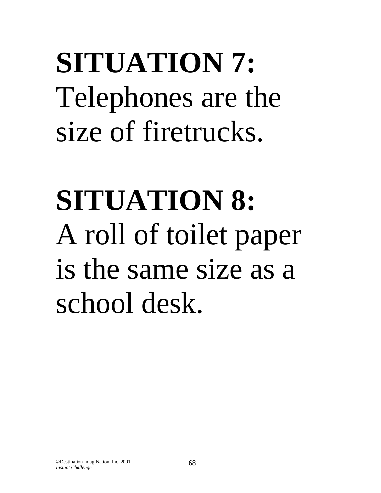**SITUATION 7:**  Telephones are the size of firetrucks.

**SITUATION 8:**  A roll of toilet paper is the same size as a school desk.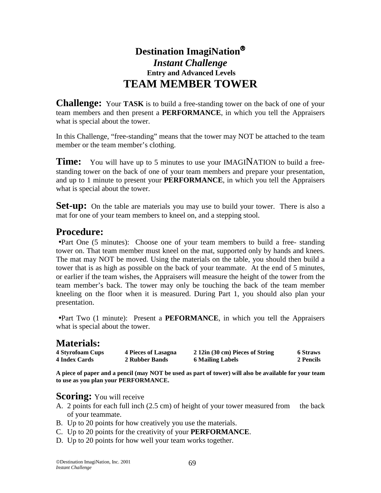# **Destination ImagiNation** *Instant Challenge*   **Entry and Advanced Levels TEAM MEMBER TOWER**

**Challenge:** Your **TASK** is to build a free-standing tower on the back of one of your team members and then present a **PERFORMANCE**, in which you tell the Appraisers what is special about the tower.

In this Challenge, "free-standing" means that the tower may NOT be attached to the team member or the team member's clothing.

**Time:** You will have up to 5 minutes to use your IMAGINATION to build a freestanding tower on the back of one of your team members and prepare your presentation, and up to 1 minute to present your **PERFORMANCE**, in which you tell the Appraisers what is special about the tower.

**Set-up:** On the table are materials you may use to build your tower. There is also a mat for one of your team members to kneel on, and a stepping stool.

# **Procedure:**

•Part One (5 minutes): Choose one of your team members to build a free- standing tower on. That team member must kneel on the mat, supported only by hands and knees. The mat may NOT be moved. Using the materials on the table, you should then build a tower that is as high as possible on the back of your teammate. At the end of 5 minutes, or earlier if the team wishes, the Appraisers will measure the height of the tower from the team member's back. The tower may only be touching the back of the team member kneeling on the floor when it is measured. During Part 1, you should also plan your presentation.

•Part Two (1 minute): Present a **PEFORMANCE**, in which you tell the Appraisers what is special about the tower.

# **Materials:**

| <b>4 Styrofoam Cups</b> | 4 Pieces of Lasagna | 2 12in (30 cm) Pieces of String | <b>6 Straws</b> |
|-------------------------|---------------------|---------------------------------|-----------------|
| <b>4 Index Cards</b>    | 2 Rubber Bands      | <b>6 Mailing Labels</b>         | 2 Pencils       |

**A piece of paper and a pencil (may NOT be used as part of tower) will also be available for your team to use as you plan your PERFORMANCE.** 

- **Scoring:** You will receive <br>A. 2 points for each full inch (2.5 cm) of height of your tower measured from the back of your teammate.
- B. Up to 20 points for how creatively you use the materials.
- C. Up to 20 points for the creativity of your **PERFORMANCE**.
- D. Up to 20 points for how well your team works together.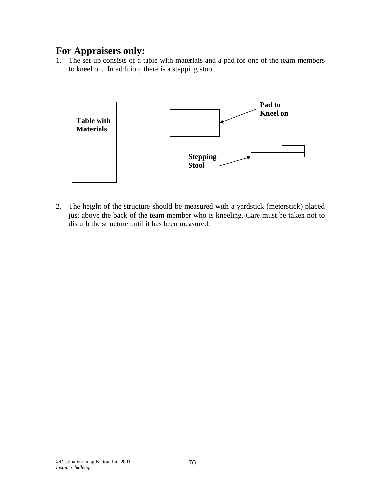1. The set-up consists of a table with materials and a pad for one of the team members to kneel on. In addition, there is a stepping stool.



2. The height of the structure should be measured with a yardstick (meterstick) placed just above the back of the team member who is kneeling. Care must be taken not to disturb the structure until it has been measured.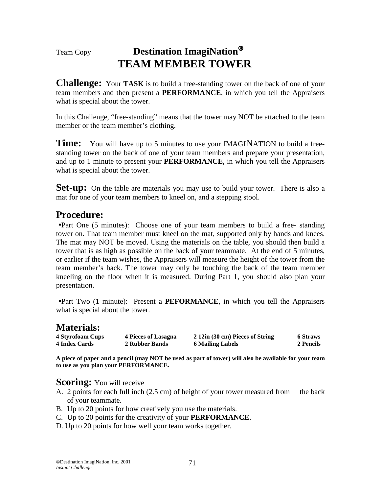# Team Copy **Destination ImagiNation TEAM MEMBER TOWER**

**Challenge:** Your **TASK** is to build a free-standing tower on the back of one of your team members and then present a **PERFORMANCE**, in which you tell the Appraisers what is special about the tower.

In this Challenge, "free-standing" means that the tower may NOT be attached to the team member or the team member's clothing.

**Time:** You will have up to 5 minutes to use your IMAGINATION to build a freestanding tower on the back of one of your team members and prepare your presentation, and up to 1 minute to present your **PERFORMANCE**, in which you tell the Appraisers what is special about the tower.

**Set-up:** On the table are materials you may use to build your tower. There is also a mat for one of your team members to kneel on, and a stepping stool.

## **Procedure:**

•Part One (5 minutes): Choose one of your team members to build a free- standing tower on. That team member must kneel on the mat, supported only by hands and knees. The mat may NOT be moved. Using the materials on the table, you should then build a tower that is as high as possible on the back of your teammate. At the end of 5 minutes, or earlier if the team wishes, the Appraisers will measure the height of the tower from the team member's back. The tower may only be touching the back of the team member kneeling on the floor when it is measured. During Part 1, you should also plan your presentation.

•Part Two (1 minute): Present a **PEFORMANCE**, in which you tell the Appraisers what is special about the tower.

| <b>Materials:</b>       |                     |                                 |                 |
|-------------------------|---------------------|---------------------------------|-----------------|
| <b>4 Styrofoam Cups</b> | 4 Pieces of Lasagna | 2 12in (30 cm) Pieces of String | <b>6 Straws</b> |
| <b>4 Index Cards</b>    | 2 Rubber Bands      | 6 Mailing Labels                | 2 Pencils       |

**A piece of paper and a pencil (may NOT be used as part of tower) will also be available for your team to use as you plan your PERFORMANCE.** 

- **Scoring:** You will receive <br>A. 2 points for each full inch (2.5 cm) of height of your tower measured from the back of your teammate.
- B. Up to 20 points for how creatively you use the materials.
- C. Up to 20 points for the creativity of your **PERFORMANCE**.
- D. Up to 20 points for how well your team works together.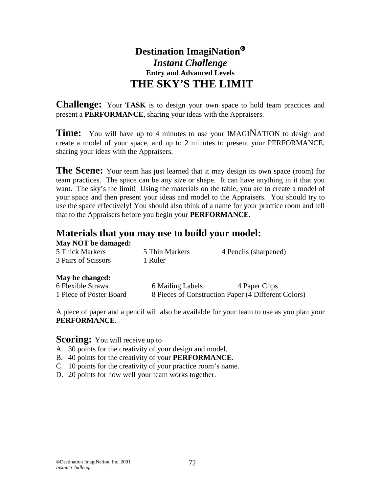# **Destination ImagiNation** *Instant Challenge*  **Entry and Advanced Levels THE SKY'S THE LIMIT**

**Challenge:** Your **TASK** is to design your own space to hold team practices and present a **PERFORMANCE**, sharing your ideas with the Appraisers.

**Time:** You will have up to 4 minutes to use your IMAGINATION to design and create a model of your space, and up to 2 minutes to present your PERFORMANCE, sharing your ideas with the Appraisers.

**The Scene:** Your team has just learned that it may design its own space (room) for team practices. The space can be any size or shape. It can have anything in it that you want. The sky's the limit! Using the materials on the table, you are to create a model of your space and then present your ideas and model to the Appraisers. You should try to use the space effectively! You should also think of a name for your practice room and tell that to the Appraisers before you begin your **PERFORMANCE**.

## **Materials that you may use to build your model:**

| <b>May NOT be damaged:</b> |                  |                       |
|----------------------------|------------------|-----------------------|
| 5 Thick Markers            | 5 Thin Markers   | 4 Pencils (sharpened) |
| 3 Pairs of Scissors        | 1 Ruler          |                       |
| May be changed:            |                  |                       |
| 6 Flexible Straws          | 6 Mailing Labels | 4 Paper Clips         |

1 Piece of Poster Board 8 Pieces of Construction Paper (4 Different Colors)

A piece of paper and a pencil will also be available for your team to use as you plan your **PERFORMANCE**.

## **Scoring:** You will receive up to

- A. 30 points for the creativity of your design and model.
- B. 40 points for the creativity of your **PERFORMANCE**.
- C. 10 points for the creativity of your practice room's name.
- D. 20 points for how well your team works together.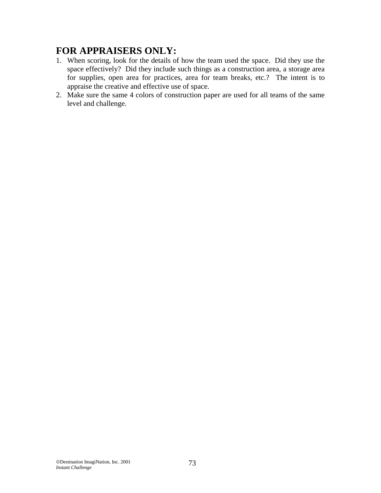# **FOR APPRAISERS ONLY:**

- 1. When scoring, look for the details of how the team used the space. Did they use the space effectively? Did they include such things as a construction area, a storage area for supplies, open area for practices, area for team breaks, etc.? The intent is to appraise the creative and effective use of space.
- 2. Make sure the same 4 colors of construction paper are used for all teams of the same level and challenge.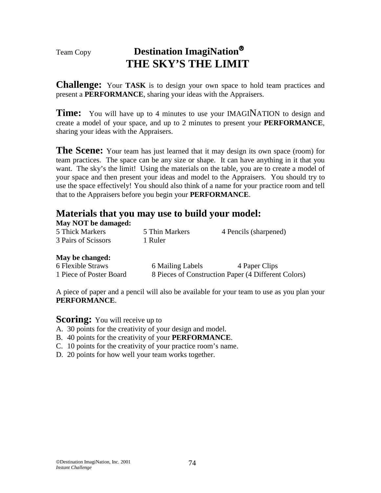# Team Copy **Destination ImagiNation THE SKY'S THE LIMIT**

**Challenge:** Your **TASK** is to design your own space to hold team practices and present a **PERFORMANCE**, sharing your ideas with the Appraisers.

**Time:** You will have up to 4 minutes to use your IMAGINATION to design and create a model of your space, and up to 2 minutes to present your **PERFORMANCE**, sharing your ideas with the Appraisers.

**The Scene:** Your team has just learned that it may design its own space (room) for team practices. The space can be any size or shape. It can have anything in it that you want. The sky's the limit! Using the materials on the table, you are to create a model of your space and then present your ideas and model to the Appraisers. You should try to use the space effectively! You should also think of a name for your practice room and tell that to the Appraisers before you begin your **PERFORMANCE**.

## **Materials that you may use to build your model:**

| <b>May NOT be damaged:</b> |                |                       |
|----------------------------|----------------|-----------------------|
| 5 Thick Markers            | 5 Thin Markers | 4 Pencils (sharpened) |
| 3 Pairs of Scissors        | 1 Ruler        |                       |

### **May be changed:**

| 6 Flexible Straws       | 6 Mailing Labels | 4 Paper Clips                                       |
|-------------------------|------------------|-----------------------------------------------------|
| 1 Piece of Poster Board |                  | 8 Pieces of Construction Paper (4 Different Colors) |

A piece of paper and a pencil will also be available for your team to use as you plan your **PERFORMANCE**.

**Scoring:** You will receive up to

- A. 30 points for the creativity of your design and model.
- B. 40 points for the creativity of your **PERFORMANCE**.
- C. 10 points for the creativity of your practice room's name.
- D. 20 points for how well your team works together.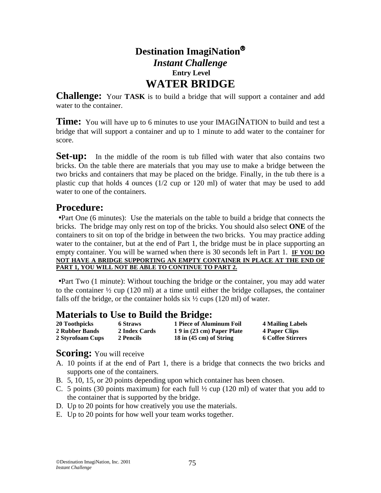# **Destination ImagiNation** *Instant Challenge*   **Entry Level WATER BRIDGE**

**Challenge:** Your **TASK** is to build a bridge that will support a container and add water to the container.

**Time:** You will have up to 6 minutes to use your IMAGINATION to build and test a bridge that will support a container and up to 1 minute to add water to the container for score.

**Set-up:** In the middle of the room is tub filled with water that also contains two bricks. On the table there are materials that you may use to make a bridge between the two bricks and containers that may be placed on the bridge. Finally, in the tub there is a plastic cup that holds 4 ounces (1/2 cup or 120 ml) of water that may be used to add water to one of the containers.

# **Procedure:**

•Part One (6 minutes): Use the materials on the table to build a bridge that connects the bricks. The bridge may only rest on top of the bricks. You should also select **ONE** of the containers to sit on top of the bridge in between the two bricks. You may practice adding water to the container, but at the end of Part 1, the bridge must be in place supporting an empty container. You will be warned when there is 30 seconds left in Part 1. **IF YOU DO NOT HAVE A BRIDGE SUPPORTING AN EMPTY CONTAINER IN PLACE AT THE END OF PART 1, YOU WILL NOT BE ABLE TO CONTINUE TO PART 2.**

•Part Two (1 minute): Without touching the bridge or the container, you may add water to the container  $\frac{1}{2}$  cup (120 ml) at a time until either the bridge collapses, the container falls off the bridge, or the container holds six  $\frac{1}{2}$  cups (120 ml) of water.

## **Materials to Use to Build the Bridge:**

| 20 Toothpicks    | <b>6 Straws</b> | 1 Piece of Aluminum Foil            | 4 Mailing Labels         |
|------------------|-----------------|-------------------------------------|--------------------------|
| 2 Rubber Bands   | 2 Index Cards   | 19 in (23 cm) Paper Plate           | 4 Paper Clips            |
| 2 Styrofoam Cups | 2 Pencils       | $18$ in $(45 \text{ cm})$ of String | <b>6 Coffee Stirrers</b> |

- **Scoring:** You will receive <br>A. 10 points if at the end of Part 1, there is a bridge that connects the two bricks and supports one of the containers.
- B. 5, 10, 15, or 20 points depending upon which container has been chosen.
- C. 5 points (30 points maximum) for each full  $\frac{1}{2}$  cup (120 ml) of water that you add to the container that is supported by the bridge.
- D. Up to 20 points for how creatively you use the materials.
- E. Up to 20 points for how well your team works together.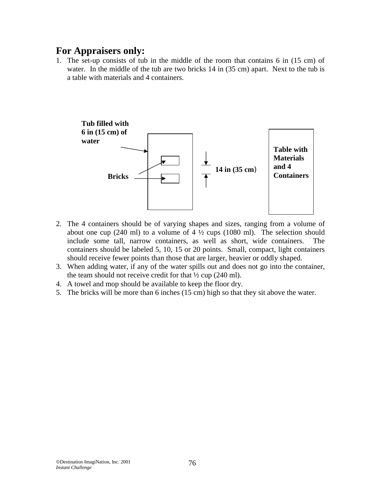## **For Appraisers only:**

1. The set-up consists of tub in the middle of the room that contains 6 in (15 cm) of water. In the middle of the tub are two bricks 14 in (35 cm) apart. Next to the tub is a table with materials and 4 containers.



- 2. The 4 containers should be of varying shapes and sizes, ranging from a volume of about one cup (240 ml) to a volume of 4  $\frac{1}{2}$  cups (1080 ml). The selection should include some tall, narrow containers, as well as short, wide containers. The containers should be labeled 5, 10, 15 or 20 points. Small, compact, light containers should receive fewer points than those that are larger, heavier or oddly shaped.
- 3. When adding water, if any of the water spills out and does not go into the container, the team should not receive credit for that  $\frac{1}{2}$  cup (240 ml).
- 4. A towel and mop should be available to keep the floor dry.
- 5. The bricks will be more than 6 inches (15 cm) high so that they sit above the water.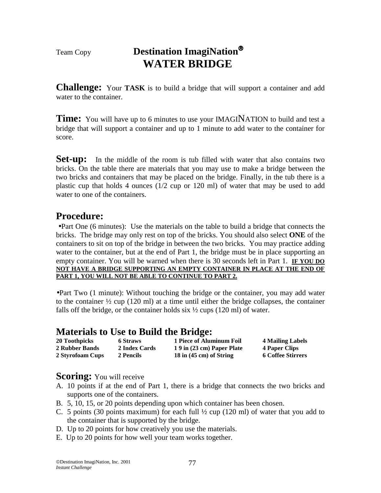## Team Copy **Destination ImagiNation WATER BRIDGE**

**Challenge:** Your **TASK** is to build a bridge that will support a container and add water to the container.

**Time:** You will have up to 6 minutes to use your IMAGINATION to build and test a bridge that will support a container and up to 1 minute to add water to the container for score.

**Set-up:** In the middle of the room is tub filled with water that also contains two bricks. On the table there are materials that you may use to make a bridge between the two bricks and containers that may be placed on the bridge. Finally, in the tub there is a plastic cup that holds 4 ounces (1/2 cup or 120 ml) of water that may be used to add water to one of the containers.

## **Procedure:**

•Part One (6 minutes): Use the materials on the table to build a bridge that connects the bricks. The bridge may only rest on top of the bricks. You should also select **ONE** of the containers to sit on top of the bridge in between the two bricks. You may practice adding water to the container, but at the end of Part 1, the bridge must be in place supporting an empty container. You will be warned when there is 30 seconds left in Part 1. **IF YOU DO NOT HAVE A BRIDGE SUPPORTING AN EMPTY CONTAINER IN PLACE AT THE END OF PART 1, YOU WILL NOT BE ABLE TO CONTINUE TO PART 2.**

•Part Two (1 minute): Without touching the bridge or the container, you may add water to the container  $\frac{1}{2}$  cup (120 ml) at a time until either the bridge collapses, the container falls off the bridge, or the container holds six  $\frac{1}{2}$  cups (120 ml) of water.

## **Materials to Use to Build the Bridge:**

| 20 Toothpicks         | <b>6 Straws</b> | 1 Piece of Aluminum Foil            | 4 Mailing Labels         |
|-----------------------|-----------------|-------------------------------------|--------------------------|
| <b>2 Rubber Bands</b> | 2 Index Cards   | 19 in (23 cm) Paper Plate           | 4 Paper Clips            |
| 2 Styrofoam Cups      | 2 Pencils       | $18$ in $(45 \text{ cm})$ of String | <b>6 Coffee Stirrers</b> |

- **Scoring:** You will receive <br>A. 10 points if at the end of Part 1, there is a bridge that connects the two bricks and supports one of the containers.
- B. 5, 10, 15, or 20 points depending upon which container has been chosen.
- C. 5 points (30 points maximum) for each full  $\frac{1}{2}$  cup (120 ml) of water that you add to the container that is supported by the bridge.
- D. Up to 20 points for how creatively you use the materials.
- E. Up to 20 points for how well your team works together.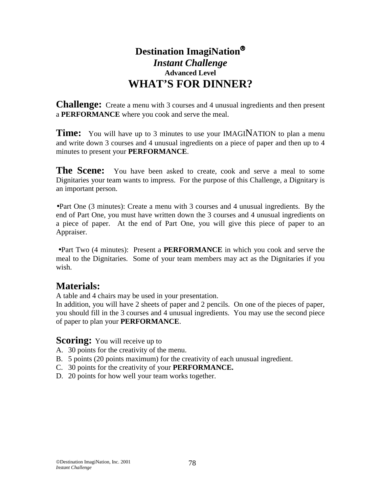## **Destination ImagiNation** *Instant Challenge*  **Advanced Level WHAT'S FOR DINNER?**

**Challenge:** Create a menu with 3 courses and 4 unusual ingredients and then present a **PERFORMANCE** where you cook and serve the meal.

**Time:** You will have up to 3 minutes to use your IMAGINATION to plan a menu and write down 3 courses and 4 unusual ingredients on a piece of paper and then up to 4 minutes to present your **PERFORMANCE**.

**The Scene:** You have been asked to create, cook and serve a meal to some Dignitaries your team wants to impress. For the purpose of this Challenge, a Dignitary is an important person.

•Part One (3 minutes): Create a menu with 3 courses and 4 unusual ingredients. By the end of Part One, you must have written down the 3 courses and 4 unusual ingredients on a piece of paper. At the end of Part One, you will give this piece of paper to an Appraiser.

•Part Two (4 minutes): Present a **PERFORMANCE** in which you cook and serve the meal to the Dignitaries. Some of your team members may act as the Dignitaries if you wish.

## **Materials:**

A table and 4 chairs may be used in your presentation.

In addition, you will have 2 sheets of paper and 2 pencils. On one of the pieces of paper, you should fill in the 3 courses and 4 unusual ingredients. You may use the second piece of paper to plan your **PERFORMANCE**.

#### **Scoring:** You will receive up to

- A. 30 points for the creativity of the menu.
- B. 5 points (20 points maximum) for the creativity of each unusual ingredient.
- C. 30 points for the creativity of your **PERFORMANCE.**
- D. 20 points for how well your team works together.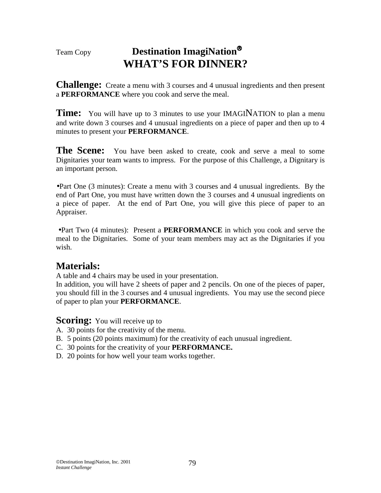## Team Copy **Destination ImagiNation WHAT'S FOR DINNER?**

**Challenge:** Create a menu with 3 courses and 4 unusual ingredients and then present a **PERFORMANCE** where you cook and serve the meal.

**Time:** You will have up to 3 minutes to use your IMAGINATION to plan a menu and write down 3 courses and 4 unusual ingredients on a piece of paper and then up to 4 minutes to present your **PERFORMANCE**.

**The Scene:** You have been asked to create, cook and serve a meal to some Dignitaries your team wants to impress. For the purpose of this Challenge, a Dignitary is an important person.

•Part One (3 minutes): Create a menu with 3 courses and 4 unusual ingredients. By the end of Part One, you must have written down the 3 courses and 4 unusual ingredients on a piece of paper. At the end of Part One, you will give this piece of paper to an Appraiser.

•Part Two (4 minutes): Present a **PERFORMANCE** in which you cook and serve the meal to the Dignitaries. Some of your team members may act as the Dignitaries if you wish.

## **Materials:**

A table and 4 chairs may be used in your presentation.

In addition, you will have 2 sheets of paper and 2 pencils. On one of the pieces of paper, you should fill in the 3 courses and 4 unusual ingredients. You may use the second piece of paper to plan your **PERFORMANCE**.

**Scoring:** You will receive up to

- A. 30 points for the creativity of the menu.
- B. 5 points (20 points maximum) for the creativity of each unusual ingredient.
- C. 30 points for the creativity of your **PERFORMANCE.**
- D. 20 points for how well your team works together.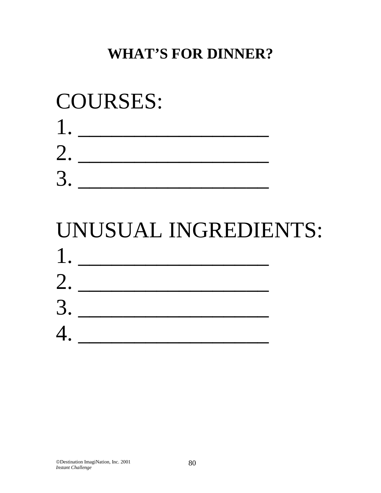## **WHAT'S FOR DINNER?**

# COURSES: 1. \_\_\_\_\_\_\_\_\_\_\_\_\_\_\_\_\_ 2. 3. \_\_\_\_\_\_\_\_\_\_\_\_\_\_\_\_\_

## UNUSUAL INGREDIENTS: 1. \_\_\_\_\_\_\_\_\_\_\_\_\_\_\_\_\_ 2. \_\_\_\_\_\_\_\_\_\_\_\_\_\_\_\_\_  $3.$ 4. \_\_\_\_\_\_\_\_\_\_\_\_\_\_\_\_\_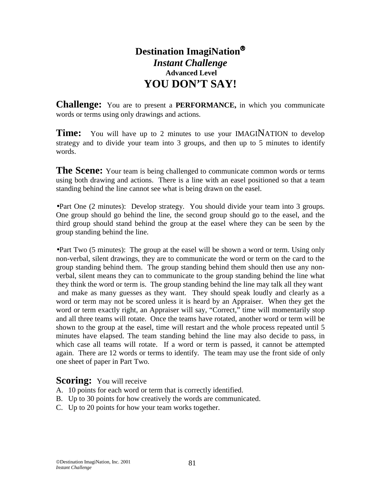## **Destination ImagiNation** *Instant Challenge*   **Advanced Level YOU DON'T SAY!**

**Challenge:** You are to present a **PERFORMANCE,** in which you communicate words or terms using only drawings and actions.

**Time:** You will have up to 2 minutes to use your IMAGINATION to develop strategy and to divide your team into 3 groups, and then up to 5 minutes to identify words.

The Scene: Your team is being challenged to communicate common words or terms using both drawing and actions. There is a line with an easel positioned so that a team standing behind the line cannot see what is being drawn on the easel.

•Part One (2 minutes): Develop strategy. You should divide your team into 3 groups. One group should go behind the line, the second group should go to the easel, and the third group should stand behind the group at the easel where they can be seen by the group standing behind the line.

•Part Two (5 minutes): The group at the easel will be shown a word or term. Using only non-verbal, silent drawings, they are to communicate the word or term on the card to the group standing behind them. The group standing behind them should then use any nonverbal, silent means they can to communicate to the group standing behind the line what they think the word or term is. The group standing behind the line may talk all they want and make as many guesses as they want. They should speak loudly and clearly as a word or term may not be scored unless it is heard by an Appraiser. When they get the word or term exactly right, an Appraiser will say, "Correct," time will momentarily stop and all three teams will rotate. Once the teams have rotated, another word or term will be shown to the group at the easel, time will restart and the whole process repeated until 5 minutes have elapsed. The team standing behind the line may also decide to pass, in which case all teams will rotate. If a word or term is passed, it cannot be attempted again. There are 12 words or terms to identify. The team may use the front side of only one sheet of paper in Part Two.

#### **Scoring:** You will receive

- A. 10 points for each word or term that is correctly identified.
- B. Up to 30 points for how creatively the words are communicated.
- C. Up to 20 points for how your team works together.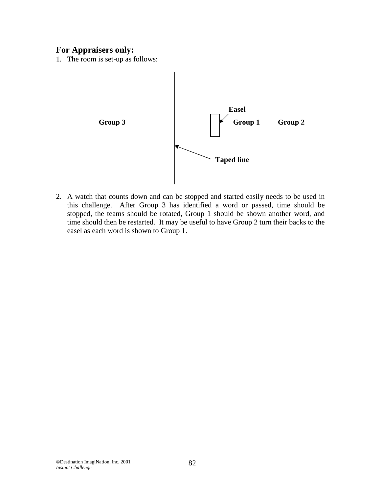### **For Appraisers only:**

1. The room is set-up as follows:



2. A watch that counts down and can be stopped and started easily needs to be used in this challenge. After Group 3 has identified a word or passed, time should be stopped, the teams should be rotated, Group 1 should be shown another word, and time should then be restarted. It may be useful to have Group 2 turn their backs to the easel as each word is shown to Group 1.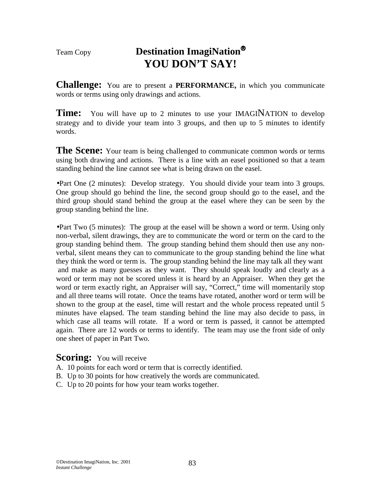## Team Copy **Destination ImagiNation YOU DON'T SAY!**

**Challenge:** You are to present a **PERFORMANCE,** in which you communicate words or terms using only drawings and actions.

**Time:** You will have up to 2 minutes to use your IMAGINATION to develop strategy and to divide your team into 3 groups, and then up to 5 minutes to identify words.

The Scene: Your team is being challenged to communicate common words or terms using both drawing and actions. There is a line with an easel positioned so that a team standing behind the line cannot see what is being drawn on the easel.

•Part One (2 minutes): Develop strategy. You should divide your team into 3 groups. One group should go behind the line, the second group should go to the easel, and the third group should stand behind the group at the easel where they can be seen by the group standing behind the line.

•Part Two (5 minutes): The group at the easel will be shown a word or term. Using only non-verbal, silent drawings, they are to communicate the word or term on the card to the group standing behind them. The group standing behind them should then use any nonverbal, silent means they can to communicate to the group standing behind the line what they think the word or term is. The group standing behind the line may talk all they want and make as many guesses as they want. They should speak loudly and clearly as a word or term may not be scored unless it is heard by an Appraiser. When they get the word or term exactly right, an Appraiser will say, "Correct," time will momentarily stop and all three teams will rotate. Once the teams have rotated, another word or term will be shown to the group at the easel, time will restart and the whole process repeated until 5 minutes have elapsed. The team standing behind the line may also decide to pass, in which case all teams will rotate. If a word or term is passed, it cannot be attempted again. There are 12 words or terms to identify. The team may use the front side of only one sheet of paper in Part Two.

#### **Scoring:** You will receive

- A. 10 points for each word or term that is correctly identified.
- B. Up to 30 points for how creatively the words are communicated.
- C. Up to 20 points for how your team works together.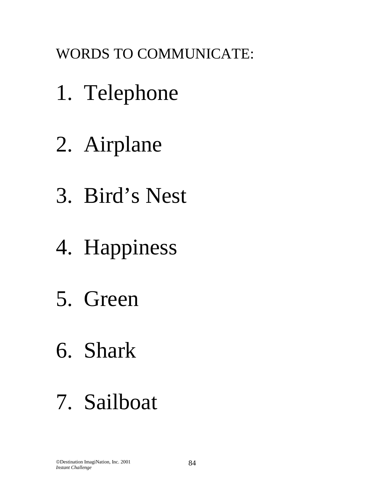WORDS TO COMMUNICATE:

- 1. Telephone
- 2. Airplane
- 3. Bird's Nest
- 4. Happiness
- 5. Green
- 6. Shark
- 7. Sailboat